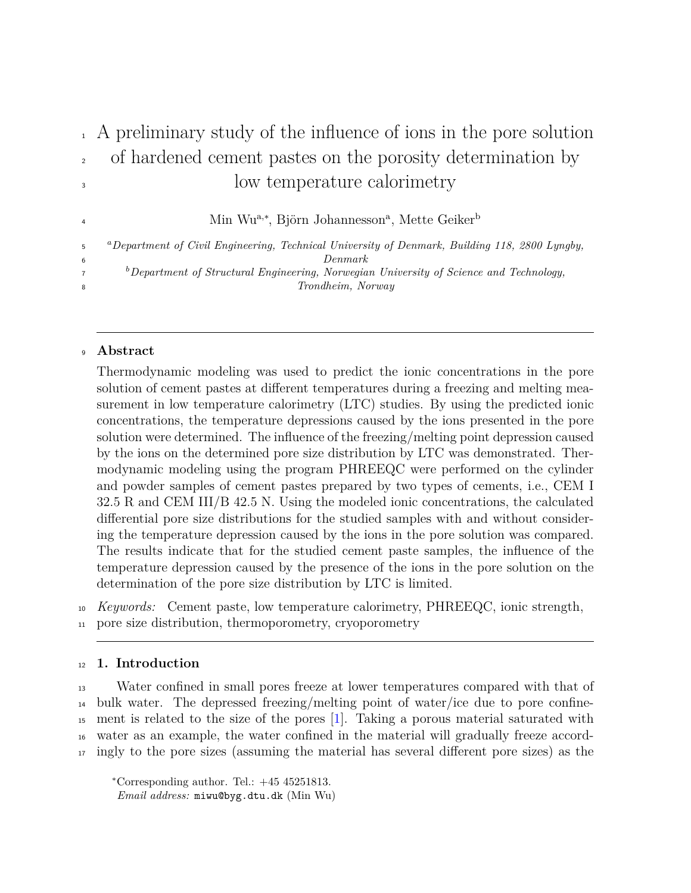# <sup>1</sup> A preliminary study of the influence of ions in the pore solution of hardened cement pastes on the porosity determination by <sup>3</sup> low temperature calorimetry

Min Wu<sup>a,∗</sup>, Björn Johannesson<sup>a</sup>, Mette Geiker<sup>b</sup>

5 *<sup>a</sup>Department of Civil Engineering, Technical University of Denmark, Building 118, 2800 Lyngby,* <sup>6</sup> *Denmark*

*<sup>b</sup>Department of Structural Engineering, Norwegian University of Science and Technology,*

<sup>8</sup> *Trondheim, Norway*

# <sup>9</sup> **Abstract**

4

7

Thermodynamic modeling was used to predict the ionic concentrations in the pore solution of cement pastes at different temperatures during a freezing and melting measurement in low temperature calorimetry (LTC) studies. By using the predicted ionic concentrations, the temperature depressions caused by the ions presented in the pore solution were determined. The influence of the freezing/melting point depression caused by the ions on the determined pore size distribution by LTC was demonstrated. Thermodynamic modeling using the program PHREEQC were performed on the cylinder and powder samples of cement pastes prepared by two types of cements, i.e., CEM I 32.5 R and CEM III/B 42.5 N. Using the modeled ionic concentrations, the calculated differential pore size distributions for the studied samples with and without considering the temperature depression caused by the ions in the pore solution was compared. The results indicate that for the studied cement paste samples, the influence of the temperature depression caused by the presence of the ions in the pore solution on the determination of the pore size distribution by LTC is limited.

<sup>10</sup> *Keywords:* Cement paste, low temperature calorimetry, PHREEQC, ionic strength, <sup>11</sup> pore size distribution, thermoporometry, cryoporometry

# <sup>12</sup> **1. Introduction**

 Water confined in small pores freeze at lower temperatures compared with that of bulk water. The depressed freezing/melting point of water/ice due to pore confine- ment is related to the size of the pores [\[1\]](#page-26-0). Taking a porous material saturated with water as an example, the water confined in the material will gradually freeze accord-ingly to the pore sizes (assuming the material has several different pore sizes) as the

<sup>∗</sup>Corresponding author. Tel.: +45 45251813. *Email address:* miwu@byg.dtu.dk (Min Wu)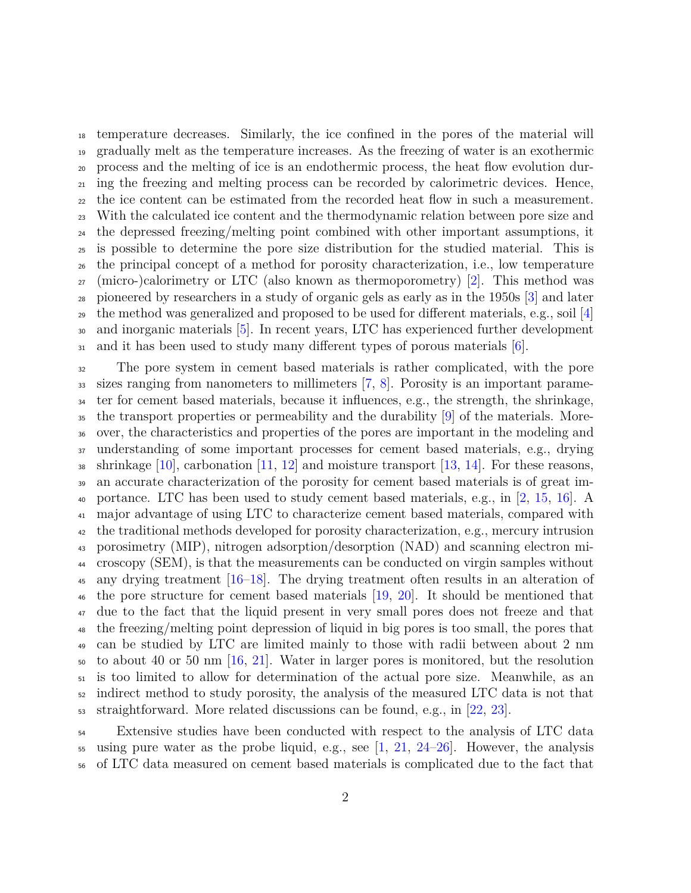temperature decreases. Similarly, the ice confined in the pores of the material will gradually melt as the temperature increases. As the freezing of water is an exothermic process and the melting of ice is an endothermic process, the heat flow evolution dur- ing the freezing and melting process can be recorded by calorimetric devices. Hence, the ice content can be estimated from the recorded heat flow in such a measurement. With the calculated ice content and the thermodynamic relation between pore size and <sup>24</sup> the depressed freezing/melting point combined with other important assumptions, it is possible to determine the pore size distribution for the studied material. This is the principal concept of a method for porosity characterization, i.e., low temperature  $_{27}$  (micro-)calorimetry or LTC (also known as thermoporometry) [\[2\]](#page-26-1). This method was pioneered by researchers in a study of organic gels as early as in the 1950s [\[3\]](#page-26-2) and later <sup>29</sup> the method was generalized and proposed to be used for different materials, e.g., soil [\[4\]](#page-26-3) and inorganic materials [\[5\]](#page-26-4). In recent years, LTC has experienced further development  $_{31}$  and it has been used to study many different types of porous materials [\[6\]](#page-26-5).

 The pore system in cement based materials is rather complicated, with the pore sizes ranging from nanometers to millimeters  $[7, 8]$  $[7, 8]$  $[7, 8]$ . Porosity is an important parame- ter for cement based materials, because it influences, e.g., the strength, the shrinkage, the transport properties or permeability and the durability [\[9\]](#page-26-8) of the materials. More- over, the characteristics and properties of the pores are important in the modeling and understanding of some important processes for cement based materials, e.g., drying 38 shrinkage  $[10]$ , carbonation  $[11, 12]$  $[11, 12]$  $[11, 12]$  and moisture transport  $[13, 14]$  $[13, 14]$  $[13, 14]$ . For these reasons, an accurate characterization of the porosity for cement based materials is of great im- portance. LTC has been used to study cement based materials, e.g., in [\[2,](#page-26-1) [15,](#page-27-4) [16\]](#page-27-5). A major advantage of using LTC to characterize cement based materials, compared with the traditional methods developed for porosity characterization, e.g., mercury intrusion porosimetry (MIP), nitrogen adsorption/desorption (NAD) and scanning electron mi- croscopy (SEM), is that the measurements can be conducted on virgin samples without any drying treatment [\[16–](#page-27-5)[18\]](#page-27-6). The drying treatment often results in an alteration of the pore structure for cement based materials [\[19,](#page-27-7) [20\]](#page-27-8). It should be mentioned that due to the fact that the liquid present in very small pores does not freeze and that the freezing/melting point depression of liquid in big pores is too small, the pores that can be studied by LTC are limited mainly to those with radii between about 2 nm  $50 \text{ to about } 40 \text{ or } 50 \text{ nm}$  [\[16,](#page-27-5) [21\]](#page-27-9). Water in larger pores is monitored, but the resolution is too limited to allow for determination of the actual pore size. Meanwhile, as an <sup>52</sup> indirect method to study porosity, the analysis of the measured LTC data is not that straightforward. More related discussions can be found, e.g., in [\[22,](#page-28-0) [23\]](#page-28-1).

<sup>54</sup> Extensive studies have been conducted with respect to the analysis of LTC data  $\frac{1}{55}$  using pure water as the probe liquid, e.g., see [\[1,](#page-26-0) [21,](#page-27-9) [24–](#page-28-2)[26\]](#page-28-3). However, the analysis of LTC data measured on cement based materials is complicated due to the fact that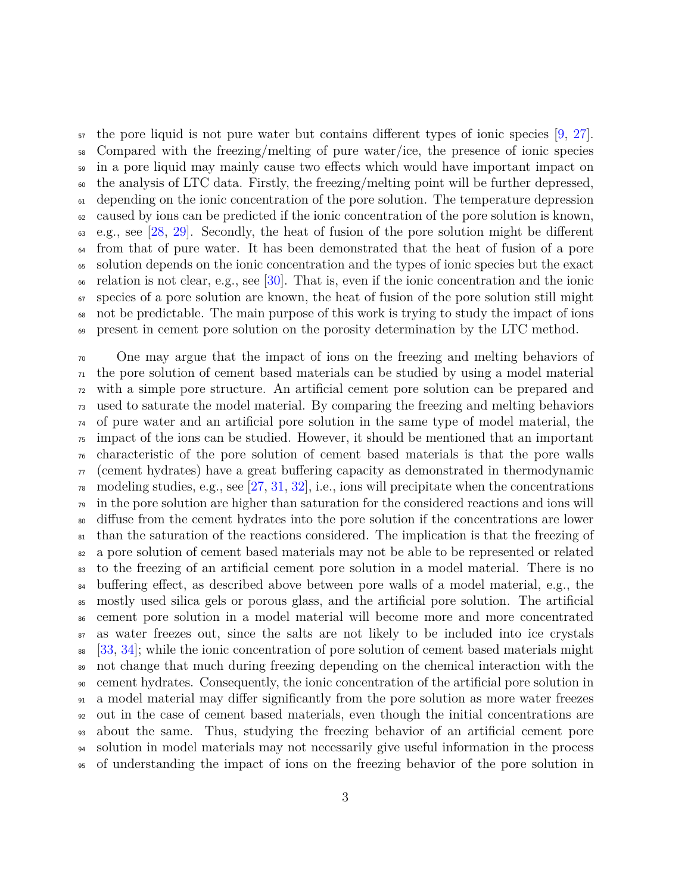the pore liquid is not pure water but contains different types of ionic species [\[9,](#page-26-8) [27\]](#page-28-4).  $\frac{1}{58}$  Compared with the freezing/melting of pure water/ice, the presence of ionic species in a pore liquid may mainly cause two effects which would have important impact on the analysis of LTC data. Firstly, the freezing/melting point will be further depressed, depending on the ionic concentration of the pore solution. The temperature depression  $\epsilon_2$  caused by ions can be predicted if the ionic concentration of the pore solution is known,  $\epsilon_3$  e.g., see [\[28,](#page-28-5) [29\]](#page-28-6). Secondly, the heat of fusion of the pore solution might be different <sub>64</sub> from that of pure water. It has been demonstrated that the heat of fusion of a pore solution depends on the ionic concentration and the types of ionic species but the exact  $\epsilon$  relation is not clear, e.g., see [\[30\]](#page-28-7). That is, even if the ionic concentration and the ionic  $\epsilon_7$  species of a pore solution are known, the heat of fusion of the pore solution still might not be predictable. The main purpose of this work is trying to study the impact of ions present in cement pore solution on the porosity determination by the LTC method.

 One may argue that the impact of ions on the freezing and melting behaviors of  $\tau_1$  the pore solution of cement based materials can be studied by using a model material with a simple pore structure. An artificial cement pore solution can be prepared and used to saturate the model material. By comparing the freezing and melting behaviors of pure water and an artificial pore solution in the same type of model material, the impact of the ions can be studied. However, it should be mentioned that an important characteristic of the pore solution of cement based materials is that the pore walls (cement hydrates) have a great buffering capacity as demonstrated in thermodynamic  $\pi$ <sup>8</sup> modeling studies, e.g., see [\[27,](#page-28-4) [31,](#page-28-8) [32\]](#page-28-9), i.e., ions will precipitate when the concentrations <sup>79</sup> in the pore solution are higher than saturation for the considered reactions and ions will diffuse from the cement hydrates into the pore solution if the concentrations are lower than the saturation of the reactions considered. The implication is that the freezing of a pore solution of cement based materials may not be able to be represented or related to the freezing of an artificial cement pore solution in a model material. There is no <sup>84</sup> buffering effect, as described above between pore walls of a model material, e.g., the mostly used silica gels or porous glass, and the artificial pore solution. The artificial cement pore solution in a model material will become more and more concentrated as water freezes out, since the salts are not likely to be included into ice crystals  $88 \quad [33, 34]$  $88 \quad [33, 34]$  $88 \quad [33, 34]$  $88 \quad [33, 34]$ ; while the ionic concentration of pore solution of cement based materials might not change that much during freezing depending on the chemical interaction with the cement hydrates. Consequently, the ionic concentration of the artificial pore solution in a model material may differ significantly from the pore solution as more water freezes out in the case of cement based materials, even though the initial concentrations are about the same. Thus, studying the freezing behavior of an artificial cement pore solution in model materials may not necessarily give useful information in the process of understanding the impact of ions on the freezing behavior of the pore solution in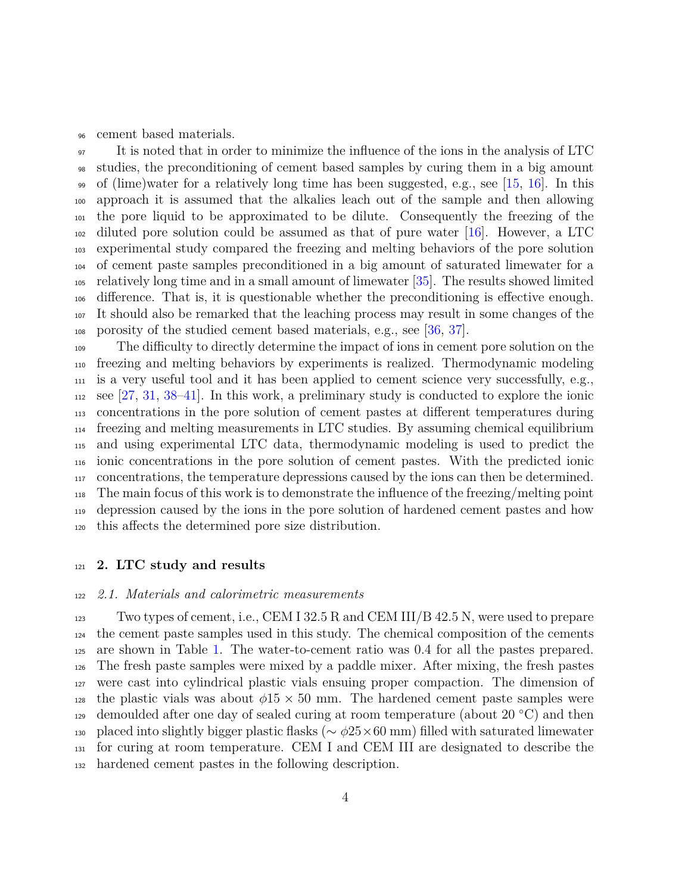cement based materials.

 It is noted that in order to minimize the influence of the ions in the analysis of LTC studies, the preconditioning of cement based samples by curing them in a big amount of (lime)water for a relatively long time has been suggested, e.g., see [\[15,](#page-27-4) [16\]](#page-27-5). In this approach it is assumed that the alkalies leach out of the sample and then allowing the pore liquid to be approximated to be dilute. Consequently the freezing of the diluted pore solution could be assumed as that of pure water [\[16\]](#page-27-5). However, a LTC experimental study compared the freezing and melting behaviors of the pore solution of cement paste samples preconditioned in a big amount of saturated limewater for a relatively long time and in a small amount of limewater [\[35\]](#page-29-1). The results showed limited difference. That is, it is questionable whether the preconditioning is effective enough. It should also be remarked that the leaching process may result in some changes of the porosity of the studied cement based materials, e.g., see [\[36,](#page-29-2) [37\]](#page-29-3).

 The difficulty to directly determine the impact of ions in cement pore solution on the freezing and melting behaviors by experiments is realized. Thermodynamic modeling is a very useful tool and it has been applied to cement science very successfully, e.g., see [\[27,](#page-28-4) [31,](#page-28-8) [38–](#page-29-4)[41\]](#page-29-5). In this work, a preliminary study is conducted to explore the ionic concentrations in the pore solution of cement pastes at different temperatures during freezing and melting measurements in LTC studies. By assuming chemical equilibrium and using experimental LTC data, thermodynamic modeling is used to predict the ionic concentrations in the pore solution of cement pastes. With the predicted ionic concentrations, the temperature depressions caused by the ions can then be determined. The main focus of this work is to demonstrate the influence of the freezing/melting point depression caused by the ions in the pore solution of hardened cement pastes and how this affects the determined pore size distribution.

## **2. LTC study and results**

#### *2.1. Materials and calorimetric measurements*

 Two types of cement, i.e., CEM I 32.5 R and CEM III/B 42.5 N, were used to prepare the cement paste samples used in this study. The chemical composition of the cements are shown in Table [1.](#page-4-0) The water-to-cement ratio was 0.4 for all the pastes prepared. The fresh paste samples were mixed by a paddle mixer. After mixing, the fresh pastes were cast into cylindrical plastic vials ensuing proper compaction. The dimension of <sup>128</sup> the plastic vials was about  $\phi$ 15 × 50 mm. The hardened cement paste samples were  $_{129}$  demoulded after one day of sealed curing at room temperature (about 20 °C) and then placed into slightly bigger plastic flasks (∼ *φ*25×60 mm) filled with saturated limewater for curing at room temperature. CEM I and CEM III are designated to describe the hardened cement pastes in the following description.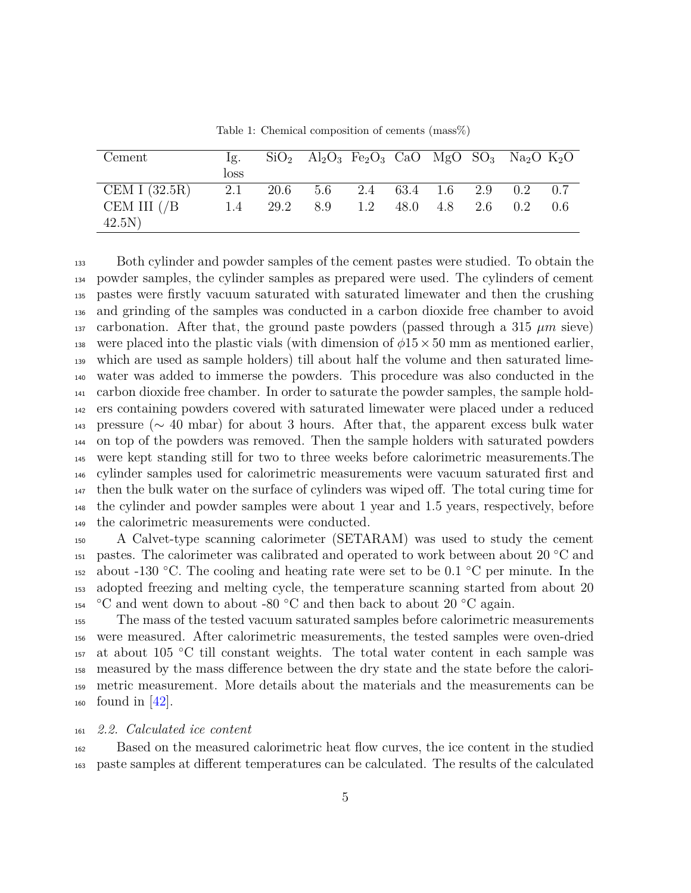| Cement          | 1g.  |      | $SiO2$ Al <sub>2</sub> O <sub>3</sub> Fe <sub>2</sub> O <sub>3</sub> CaO MgO SO <sub>3</sub> Na <sub>2</sub> O K <sub>2</sub> O |         |              |                      |     |
|-----------------|------|------|---------------------------------------------------------------------------------------------------------------------------------|---------|--------------|----------------------|-----|
|                 | loss |      |                                                                                                                                 |         |              |                      |     |
| CEM I $(32.5R)$ | 2.1  |      | 20.6 5.6                                                                                                                        |         |              | 2.4 63.4 1.6 2.9 0.2 | 0.7 |
| CEM III $//B$   | 1.4  | 29.2 | 8.9                                                                                                                             | $1.2\,$ | 48.0 4.8 2.6 | 0.2                  | 0.6 |
| 42.5N)          |      |      |                                                                                                                                 |         |              |                      |     |

<span id="page-4-0"></span>Table 1: Chemical composition of cements (mass%)

 Both cylinder and powder samples of the cement pastes were studied. To obtain the powder samples, the cylinder samples as prepared were used. The cylinders of cement pastes were firstly vacuum saturated with saturated limewater and then the crushing and grinding of the samples was conducted in a carbon dioxide free chamber to avoid 137 carbonation. After that, the ground paste powders (passed through a 315  $\mu$ m sieve) 138 were placed into the plastic vials (with dimension of  $\phi$ 15 × 50 mm as mentioned earlier, which are used as sample holders) till about half the volume and then saturated lime- water was added to immerse the powders. This procedure was also conducted in the carbon dioxide free chamber. In order to saturate the powder samples, the sample hold- ers containing powders covered with saturated limewater were placed under a reduced  $_{143}$  pressure ( $\sim$  40 mbar) for about 3 hours. After that, the apparent excess bulk water on top of the powders was removed. Then the sample holders with saturated powders were kept standing still for two to three weeks before calorimetric measurements.The cylinder samples used for calorimetric measurements were vacuum saturated first and then the bulk water on the surface of cylinders was wiped off. The total curing time for the cylinder and powder samples were about 1 year and 1.5 years, respectively, before the calorimetric measurements were conducted.

 A Calvet-type scanning calorimeter (SETARAM) was used to study the cement  $_{151}$  pastes. The calorimeter was calibrated and operated to work between about 20 °C and  $_{152}$  about -130 °C. The cooling and heating rate were set to be 0.1 °C per minute. In the adopted freezing and melting cycle, the temperature scanning started from about 20 <sup>154</sup> °C and went down to about -80 °C and then back to about 20 °C again.

 The mass of the tested vacuum saturated samples before calorimetric measurements were measured. After calorimetric measurements, the tested samples were oven-dried at about 105 °C till constant weights. The total water content in each sample was measured by the mass difference between the dry state and the state before the calori- metric measurement. More details about the materials and the measurements can be found in [\[42\]](#page-29-6).

*2.2. Calculated ice content*

 Based on the measured calorimetric heat flow curves, the ice content in the studied paste samples at different temperatures can be calculated. The results of the calculated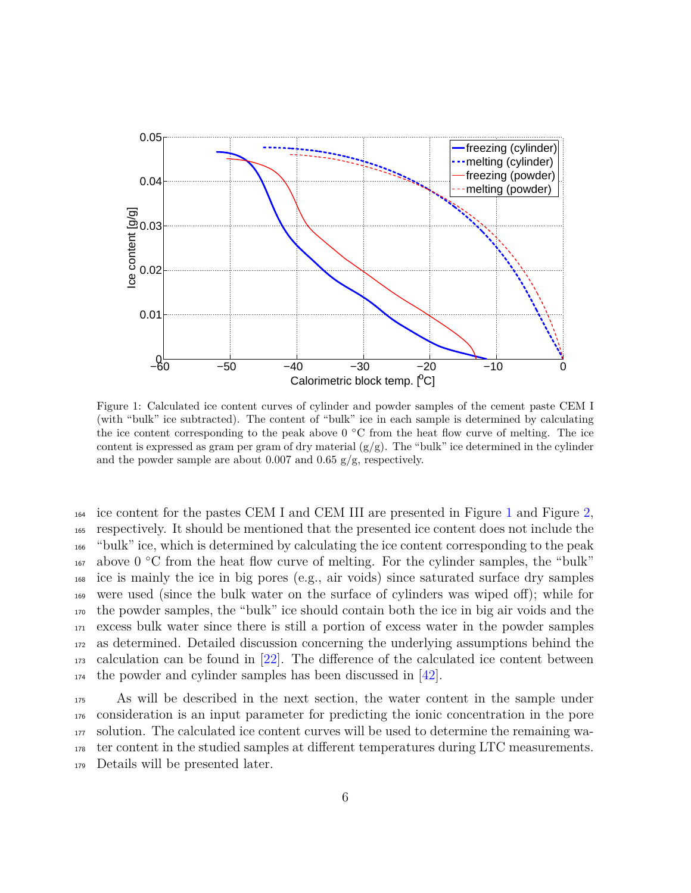<span id="page-5-0"></span>

Figure 1: Calculated ice content curves of cylinder and powder samples of the cement paste CEM I (with "bulk" ice subtracted). The content of "bulk" ice in each sample is determined by calculating the ice content corresponding to the peak above  $0 °C$  from the heat flow curve of melting. The ice content is expressed as gram per gram of dry material  $(g/g)$ . The "bulk" ice determined in the cylinder and the powder sample are about 0.007 and 0.65  $g/g$ , respectively.

 ice content for the pastes CEM I and CEM III are presented in Figure [1](#page-5-0) and Figure [2,](#page-6-0) respectively. It should be mentioned that the presented ice content does not include the "bulk" ice, which is determined by calculating the ice content corresponding to the peak  $_{167}$  above 0 °C from the heat flow curve of melting. For the cylinder samples, the "bulk" ice is mainly the ice in big pores (e.g., air voids) since saturated surface dry samples were used (since the bulk water on the surface of cylinders was wiped off); while for the powder samples, the "bulk" ice should contain both the ice in big air voids and the excess bulk water since there is still a portion of excess water in the powder samples as determined. Detailed discussion concerning the underlying assumptions behind the calculation can be found in [\[22\]](#page-28-0). The difference of the calculated ice content between the powder and cylinder samples has been discussed in [\[42\]](#page-29-6).

 As will be described in the next section, the water content in the sample under consideration is an input parameter for predicting the ionic concentration in the pore solution. The calculated ice content curves will be used to determine the remaining wa- ter content in the studied samples at different temperatures during LTC measurements. Details will be presented later.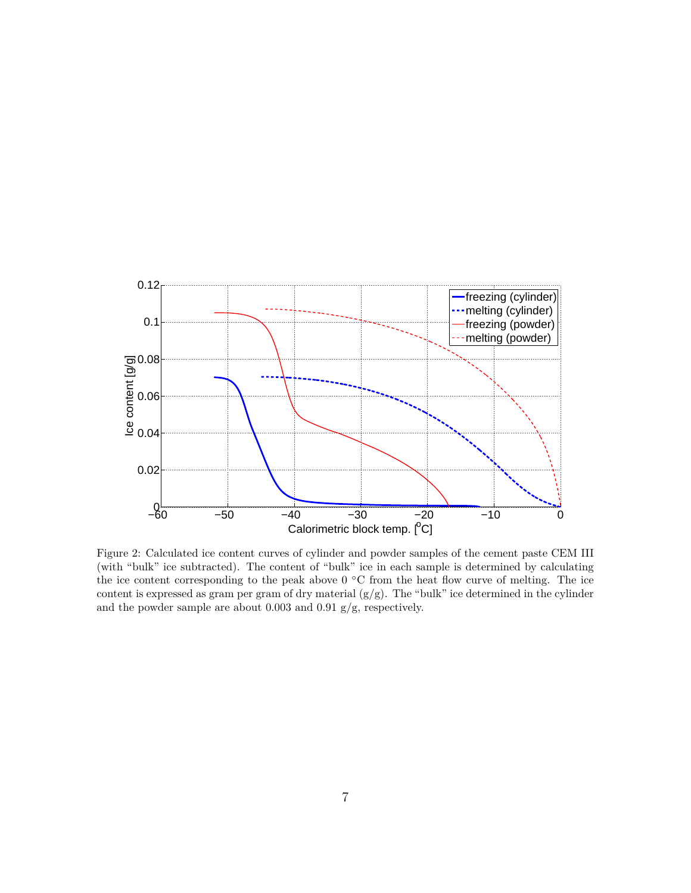<span id="page-6-0"></span>

Figure 2: Calculated ice content curves of cylinder and powder samples of the cement paste CEM III (with "bulk" ice subtracted). The content of "bulk" ice in each sample is determined by calculating the ice content corresponding to the peak above 0 ◦C from the heat flow curve of melting. The ice content is expressed as gram per gram of dry material (g/g). The "bulk" ice determined in the cylinder and the powder sample are about 0.003 and 0.91 g/g, respectively.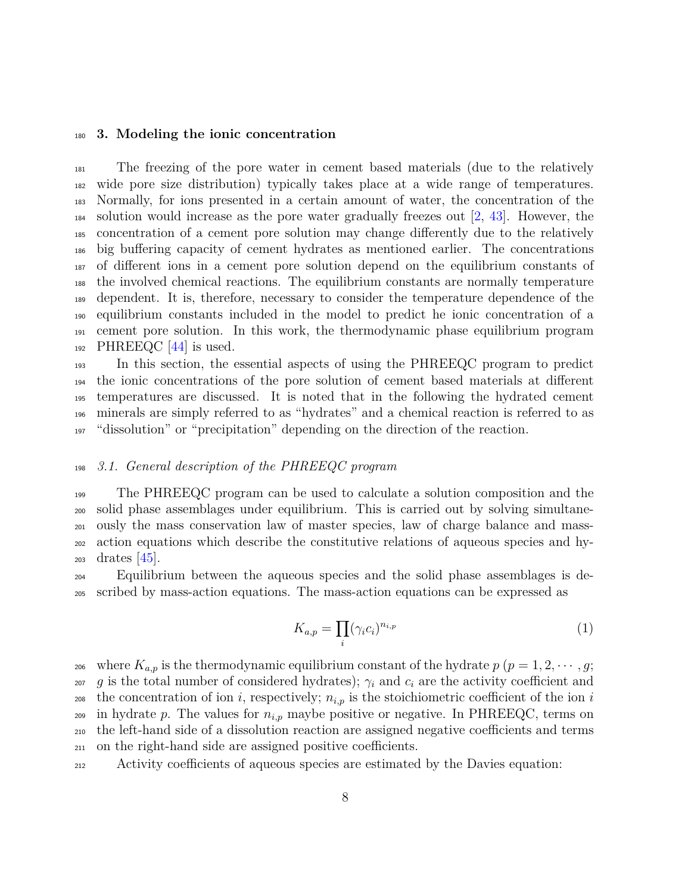#### **3. Modeling the ionic concentration**

 The freezing of the pore water in cement based materials (due to the relatively wide pore size distribution) typically takes place at a wide range of temperatures. Normally, for ions presented in a certain amount of water, the concentration of the solution would increase as the pore water gradually freezes out [\[2,](#page-26-1) [43\]](#page-29-7). However, the concentration of a cement pore solution may change differently due to the relatively big buffering capacity of cement hydrates as mentioned earlier. The concentrations of different ions in a cement pore solution depend on the equilibrium constants of the involved chemical reactions. The equilibrium constants are normally temperature dependent. It is, therefore, necessary to consider the temperature dependence of the equilibrium constants included in the model to predict he ionic concentration of a cement pore solution. In this work, the thermodynamic phase equilibrium program PHREEQC [\[44\]](#page-29-8) is used.

 In this section, the essential aspects of using the PHREEQC program to predict the ionic concentrations of the pore solution of cement based materials at different temperatures are discussed. It is noted that in the following the hydrated cement minerals are simply referred to as "hydrates" and a chemical reaction is referred to as "dissolution" or "precipitation" depending on the direction of the reaction.

# *3.1. General description of the PHREEQC program*

 The PHREEQC program can be used to calculate a solution composition and the solid phase assemblages under equilibrium. This is carried out by solving simultane- ously the mass conservation law of master species, law of charge balance and mass- action equations which describe the constitutive relations of aqueous species and hy-drates [\[45\]](#page-30-0).

 Equilibrium between the aqueous species and the solid phase assemblages is de-scribed by mass-action equations. The mass-action equations can be expressed as

<span id="page-7-0"></span>
$$
K_{a,p} = \prod_{i} (\gamma_i c_i)^{n_{i,p}} \tag{1}
$$

<sup>206</sup> where  $K_{a,p}$  is the thermodynamic equilibrium constant of the hydrate  $p$  ( $p = 1, 2, \cdots, g$ ; 207 *g* is the total number of considered hydrates);  $\gamma_i$  and  $c_i$  are the activity coefficient and 208 the concentration of ion *i*, respectively;  $n_{i,p}$  is the stoichiometric coefficient of the ion *i* 209 in hydrate p. The values for  $n_{i,p}$  maybe positive or negative. In PHREEQC, terms on the left-hand side of a dissolution reaction are assigned negative coefficients and terms on the right-hand side are assigned positive coefficients.

Activity coefficients of aqueous species are estimated by the Davies equation: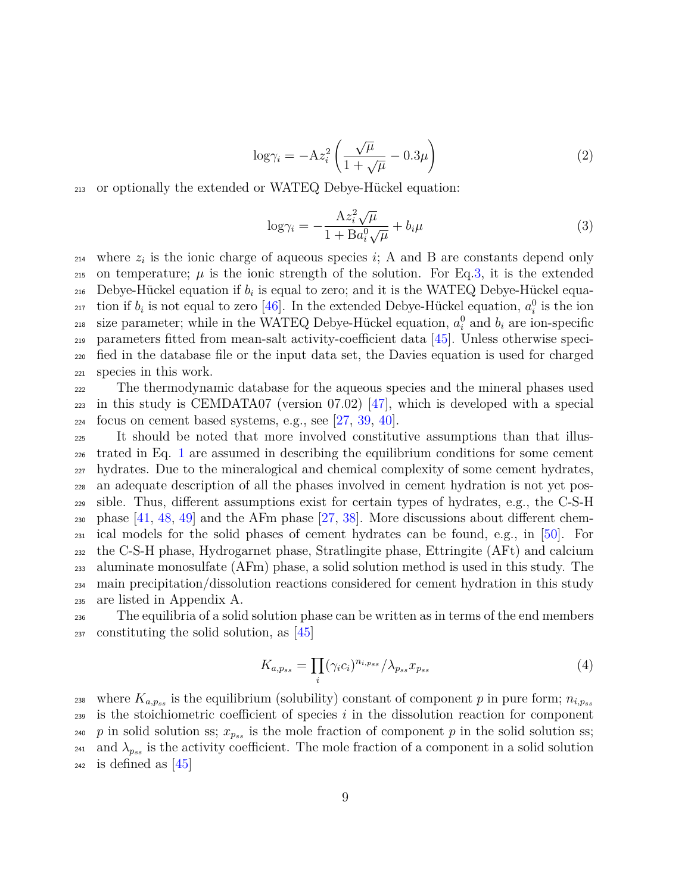$$
\log \gamma_i = -A z_i^2 \left( \frac{\sqrt{\mu}}{1 + \sqrt{\mu}} - 0.3\mu \right) \tag{2}
$$

<sup>213</sup> or optionally the extended or WATEQ Debye-Hückel equation:

<span id="page-8-0"></span>
$$
\log \gamma_i = -\frac{Az_i^2 \sqrt{\mu}}{1 + \text{B}a_i^0 \sqrt{\mu}} + b_i \mu \tag{3}
$$

 $_{214}$  where  $z_i$  is the ionic charge of aqueous species *i*; A and B are constants depend only 215 on temperature;  $\mu$  is the ionic strength of the solution. For Eq[.3,](#page-8-0) it is the extended  $_{216}$  Debye-Hückel equation if  $b_i$  is equal to zero; and it is the WATEQ Debye-Hückel equa-<sup>217</sup> tion if  $b_i$  is not equal to zero [\[46\]](#page-30-1). In the extended Debye-Hückel equation,  $a_i^0$  is the ion <sup>218</sup> size parameter; while in the WATEQ Debye-Hückel equation,  $a_i^0$  and  $b_i$  are ion-specific <sup>219</sup> parameters fitted from mean-salt activity-coefficient data [\[45\]](#page-30-0). Unless otherwise speci-<sup>220</sup> fied in the database file or the input data set, the Davies equation is used for charged <sup>221</sup> species in this work.

<sup>222</sup> The thermodynamic database for the aqueous species and the mineral phases used <sub>223</sub> in this study is CEMDATA07 (version 07.02) [\[47\]](#page-30-2), which is developed with a special  $_{224}$  focus on cement based systems, e.g., see [\[27,](#page-28-4) [39,](#page-29-9) [40\]](#page-29-10).

 It should be noted that more involved constitutive assumptions than that illus- trated in Eq. [1](#page-7-0) are assumed in describing the equilibrium conditions for some cement hydrates. Due to the mineralogical and chemical complexity of some cement hydrates, an adequate description of all the phases involved in cement hydration is not yet pos- sible. Thus, different assumptions exist for certain types of hydrates, e.g., the C-S-H  $_{230}$  phase [\[41,](#page-29-5) [48,](#page-30-3) [49\]](#page-30-4) and the AFm phase [\[27,](#page-28-4) [38\]](#page-29-4). More discussions about different chem- ical models for the solid phases of cement hydrates can be found, e.g., in [\[50\]](#page-30-5). For the C-S-H phase, Hydrogarnet phase, Stratlingite phase, Ettringite (AFt) and calcium aluminate monosulfate (AFm) phase, a solid solution method is used in this study. The main precipitation/dissolution reactions considered for cement hydration in this study are listed in Appendix A.

<sup>236</sup> The equilibria of a solid solution phase can be written as in terms of the end members  $_{237}$  constituting the solid solution, as [\[45\]](#page-30-0)

$$
K_{a,p_{ss}} = \prod_{i} (\gamma_i c_i)^{n_{i,p_{ss}}}/\lambda_{p_{ss}} x_{p_{ss}}
$$
(4)

where  $K_{a,p_{ss}}$  is the equilibrium (solubility) constant of component p in pure form;  $n_{i,p_{ss}}$ 238 <sup>239</sup> is the stoichiometric coefficient of species *i* in the dissolution reaction for component 240 p in solid solution ss;  $x_{p_{ss}}$  is the mole fraction of component p in the solid solution ss; <sup>241</sup> and  $\lambda_{p_{ss}}$  is the activity coefficient. The mole fraction of a component in a solid solution  $_{242}$  is defined as [\[45\]](#page-30-0)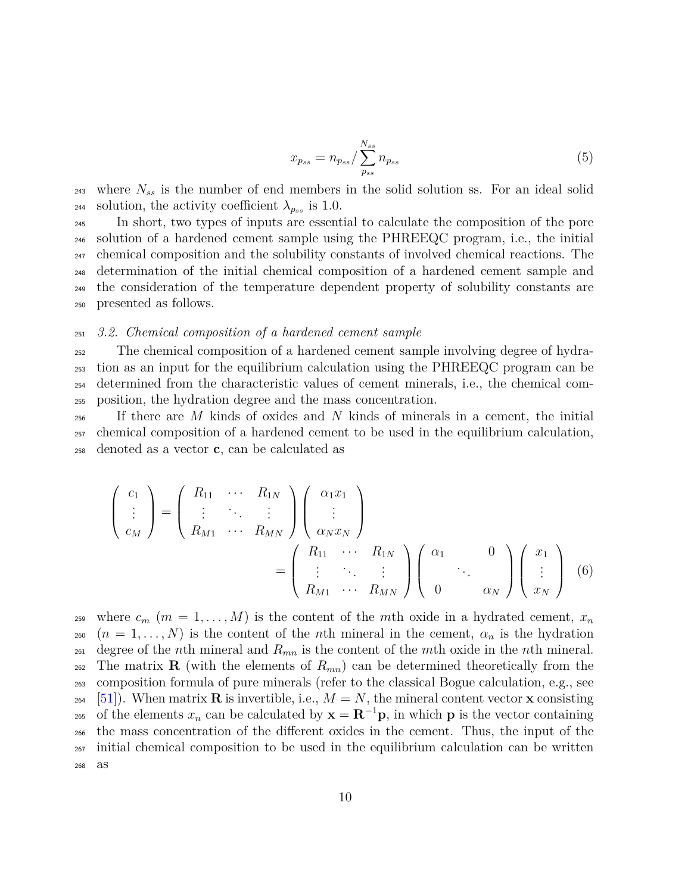$$
x_{p_{ss}} = n_{p_{ss}} / \sum_{p_{ss}}^{N_{ss}} n_{p_{ss}} \tag{5}
$$

<sup>243</sup> where *Nss* is the number of end members in the solid solution ss. For an ideal solid solution, the activity coefficient  $\lambda_{p_{ss}}$  is 1.0.

 In short, two types of inputs are essential to calculate the composition of the pore solution of a hardened cement sample using the PHREEQC program, i.e., the initial chemical composition and the solubility constants of involved chemical reactions. The determination of the initial chemical composition of a hardened cement sample and the consideration of the temperature dependent property of solubility constants are presented as follows.

# <sup>251</sup> *3.2. Chemical composition of a hardened cement sample*

 The chemical composition of a hardened cement sample involving degree of hydra- tion as an input for the equilibrium calculation using the PHREEQC program can be determined from the characteristic values of cement minerals, i.e., the chemical com-position, the hydration degree and the mass concentration.

<sup>256</sup> If there are *M* kinds of oxides and *N* kinds of minerals in a cement, the initial <sup>257</sup> chemical composition of a hardened cement to be used in the equilibrium calculation, <sup>258</sup> denoted as a vector **c**, can be calculated as

$$
\begin{pmatrix}\nc_1 \\
\vdots \\
c_M\n\end{pmatrix} = \begin{pmatrix}\nR_{11} & \cdots & R_{1N} \\
\vdots & \ddots & \vdots \\
R_{M1} & \cdots & R_{MN}\n\end{pmatrix} \begin{pmatrix}\n\alpha_1 x_1 \\
\vdots \\
\alpha_N x_N\n\end{pmatrix}
$$
\n
$$
= \begin{pmatrix}\nR_{11} & \cdots & R_{1N} \\
\vdots & \ddots & \vdots \\
R_{M1} & \cdots & R_{MN}\n\end{pmatrix} \begin{pmatrix}\n\alpha_1 & 0 \\
\vdots \\
0 & \alpha_N\n\end{pmatrix} \begin{pmatrix}\nx_1 \\
\vdots \\
x_N\n\end{pmatrix}
$$
\n(6)

<sup>259</sup> where  $c_m$   $(m = 1, \ldots, M)$  is the content of the *m*th oxide in a hydrated cement,  $x_n$ 260  $(n = 1, \ldots, N)$  is the content of the *n*th mineral in the cement,  $\alpha_n$  is the hydration <sup>261</sup> degree of the *n*th mineral and *Rmn* is the content of the *m*th oxide in the *n*th mineral. <sup>262</sup> The matrix **R** (with the elements of  $R_{mn}$ ) can be determined theoretically from the <sup>263</sup> composition formula of pure minerals (refer to the classical Bogue calculation, e.g., see 264 [\[51\]](#page-30-6)). When matrix **R** is invertible, i.e.,  $M = N$ , the mineral content vector **x** consisting <sup>265</sup> of the elements  $x_n$  can be calculated by  $\mathbf{x} = \mathbf{R}^{-1} \mathbf{p}$ , in which  $\mathbf{p}$  is the vector containing <sup>266</sup> the mass concentration of the different oxides in the cement. Thus, the input of the <sup>267</sup> initial chemical composition to be used in the equilibrium calculation can be written <sup>268</sup> as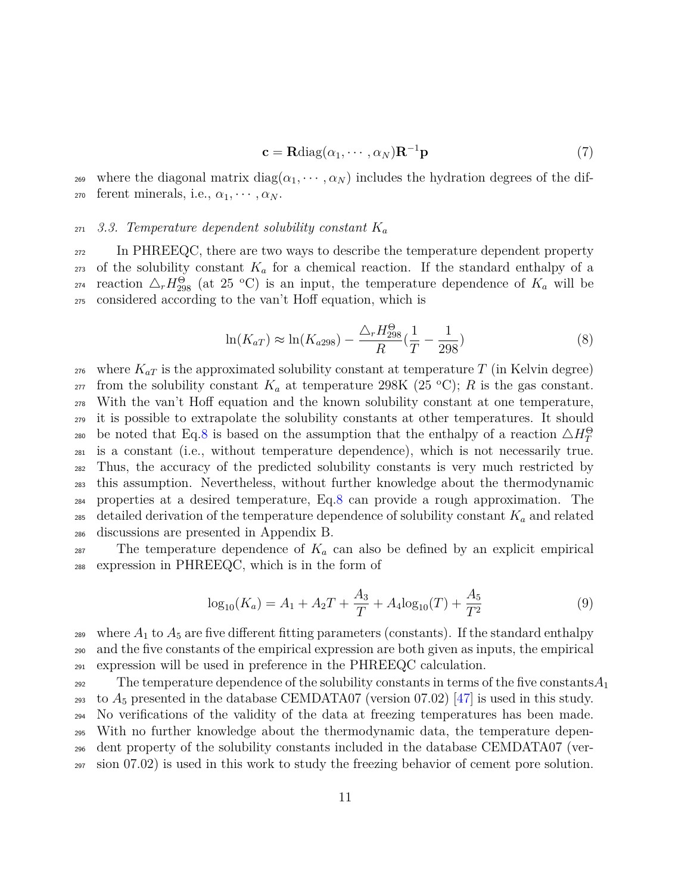$$
\mathbf{c} = \mathbf{R} \text{diag}(\alpha_1, \cdots, \alpha_N) \mathbf{R}^{-1} \mathbf{p}
$$
 (7)

<sup>269</sup> where the diagonal matrix diag( $\alpha_1, \dots, \alpha_N$ ) includes the hydration degrees of the dif- $_{270}$  ferent minerals, i.e.,  $\alpha_1, \cdots, \alpha_N$ .

# <sup>271</sup> *3.3. Temperature dependent solubility constant K<sup>a</sup>*

<sup>272</sup> In PHREEQC, there are two ways to describe the temperature dependent property  $_{273}$  of the solubility constant  $K_a$  for a chemical reaction. If the standard enthalpy of a <sup>274</sup> reaction  $\triangle_r H_{298}^{\Theta}$  (at 25 °C) is an input, the temperature dependence of  $K_a$  will be <sup>275</sup> considered according to the van't Hoff equation, which is

<span id="page-10-0"></span>
$$
\ln(K_{aT}) \approx \ln(K_{a298}) - \frac{\Delta_r H_{298}^{\Theta}}{R}(\frac{1}{T} - \frac{1}{298})
$$
\n(8)

<sup>276</sup> where  $K_{aT}$  is the approximated solubility constant at temperature T (in Kelvin degree) from the solubility constant  $K_a$  at temperature 298K (25 °C); *R* is the gas constant. <sup>278</sup> With the van't Hoff equation and the known solubility constant at one temperature, <sup>279</sup> it is possible to extrapolate the solubility constants at other temperatures. It should be noted that Eq[.8](#page-10-0) is based on the assumption that the enthalpy of a reaction  $\triangle H_T^{\Theta}$ 280 <sup>281</sup> is a constant (i.e., without temperature dependence), which is not necessarily true. <sup>282</sup> Thus, the accuracy of the predicted solubility constants is very much restricted by <sup>283</sup> this assumption. Nevertheless, without further knowledge about the thermodynamic <sup>284</sup> properties at a desired temperature, Eq[.8](#page-10-0) can provide a rough approximation. The 285 detailed derivation of the temperature dependence of solubility constant  $K_a$  and related <sup>286</sup> discussions are presented in Appendix B.

<sup>287</sup> The temperature dependence of *K<sup>a</sup>* can also be defined by an explicit empirical <sup>288</sup> expression in PHREEQC, which is in the form of

<span id="page-10-1"></span>
$$
\log_{10}(K_a) = A_1 + A_2T + \frac{A_3}{T} + A_4 \log_{10}(T) + \frac{A_5}{T^2}
$$
\n(9)

<sup>289</sup> where  $A_1$  to  $A_5$  are five different fitting parameters (constants). If the standard enthalpy <sup>290</sup> and the five constants of the empirical expression are both given as inputs, the empirical <sup>291</sup> expression will be used in preference in the PHREEQC calculation.

<sup>292</sup> The temperature dependence of the solubility constants in terms of the five constants  $A_1$ <sup>293</sup> to  $A_5$  presented in the database CEMDATA07 (version 07.02) [\[47\]](#page-30-2) is used in this study. No verifications of the validity of the data at freezing temperatures has been made. With no further knowledge about the thermodynamic data, the temperature depen- dent property of the solubility constants included in the database CEMDATA07 (ver-sion 07.02) is used in this work to study the freezing behavior of cement pore solution.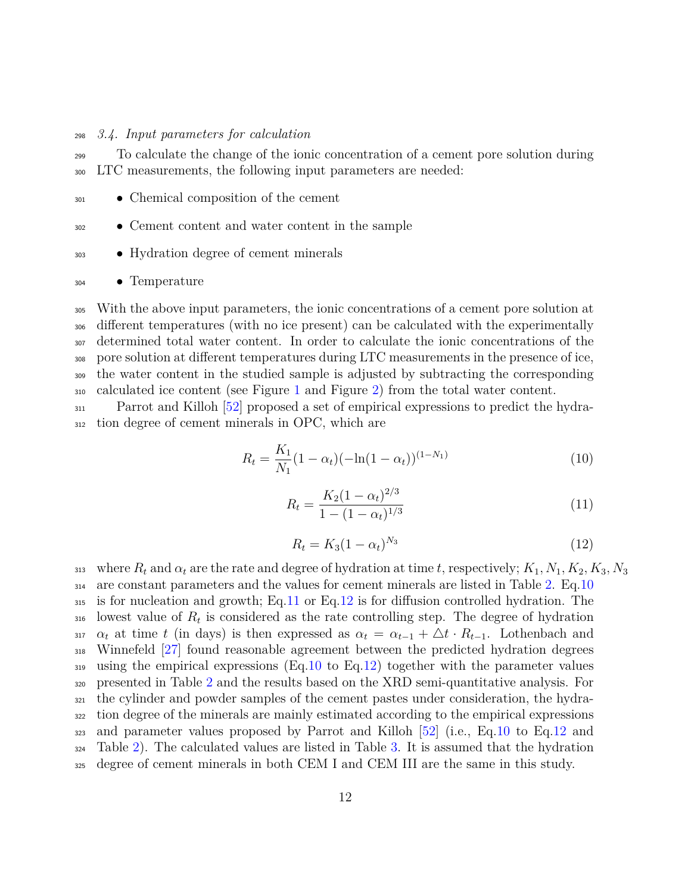#### *3.4. Input parameters for calculation*

 To calculate the change of the ionic concentration of a cement pore solution during LTC measurements, the following input parameters are needed:

- Chemical composition of the cement
- Cement content and water content in the sample
- Hydration degree of cement minerals
- Temperature

 With the above input parameters, the ionic concentrations of a cement pore solution at different temperatures (with no ice present) can be calculated with the experimentally determined total water content. In order to calculate the ionic concentrations of the pore solution at different temperatures during LTC measurements in the presence of ice, the water content in the studied sample is adjusted by subtracting the corresponding calculated ice content (see Figure [1](#page-5-0) and Figure [2\)](#page-6-0) from the total water content.

 Parrot and Killoh [\[52\]](#page-30-7) proposed a set of empirical expressions to predict the hydra-tion degree of cement minerals in OPC, which are

<span id="page-11-0"></span>
$$
R_t = \frac{K_1}{N_1} (1 - \alpha_t) (-\ln(1 - \alpha_t))^{(1 - N_1)}
$$
\n(10)

<span id="page-11-1"></span>
$$
R_t = \frac{K_2(1 - \alpha_t)^{2/3}}{1 - (1 - \alpha_t)^{1/3}}
$$
\n(11)

<span id="page-11-2"></span>
$$
R_t = K_3 (1 - \alpha_t)^{N_3} \tag{12}
$$

313 where  $R_t$  and  $\alpha_t$  are the rate and degree of hydration at time t, respectively;  $K_1, N_1, K_2, K_3, N_3$  are constant parameters and the values for cement minerals are listed in Table [2.](#page-12-0) Eq[.10](#page-11-0) is for nucleation and growth; Eq[.11](#page-11-1) or Eq[.12](#page-11-2) is for diffusion controlled hydration. The  $_{316}$  lowest value of  $R_t$  is considered as the rate controlling step. The degree of hydration  $\alpha_t$  at time *t* (in days) is then expressed as  $\alpha_t = \alpha_{t-1} + \Delta t \cdot R_{t-1}$ . Lothenbach and Winnefeld [\[27\]](#page-28-4) found reasonable agreement between the predicted hydration degrees  $_{319}$  using the empirical expressions (Eq[.10](#page-11-0) to Eq[.12\)](#page-11-2) together with the parameter values presented in Table [2](#page-12-0) and the results based on the XRD semi-quantitative analysis. For the cylinder and powder samples of the cement pastes under consideration, the hydra- tion degree of the minerals are mainly estimated according to the empirical expressions and parameter values proposed by Parrot and Killoh [\[52\]](#page-30-7) (i.e., Eq[.10](#page-11-0) to Eq[.12](#page-11-2) and Table [2\)](#page-12-0). The calculated values are listed in Table [3.](#page-12-1) It is assumed that the hydration degree of cement minerals in both CEM I and CEM III are the same in this study.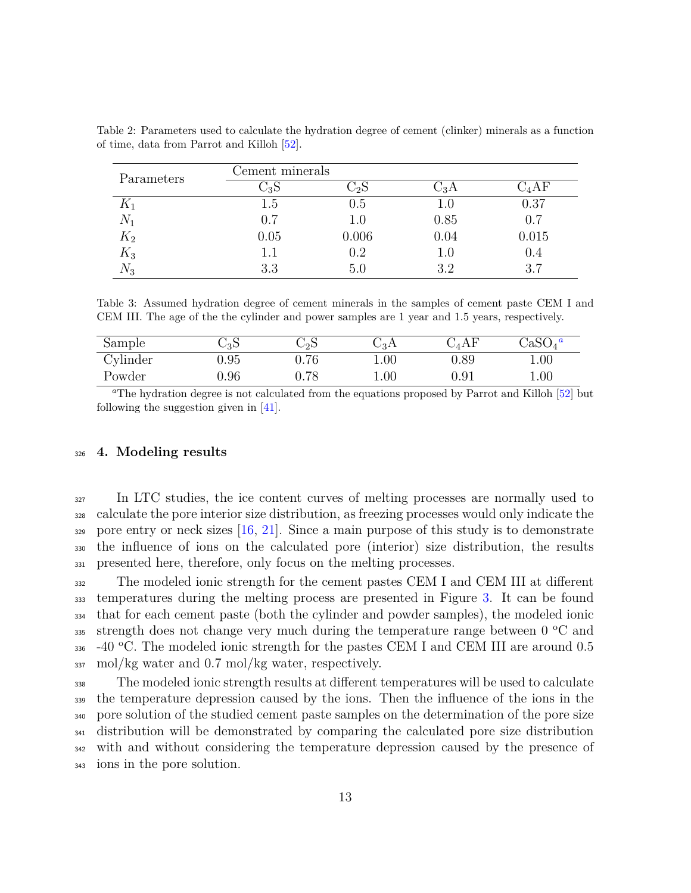| Parameters | Cement minerals |                          |            |                           |  |  |
|------------|-----------------|--------------------------|------------|---------------------------|--|--|
|            | $C_3S$          | $\mathbb{C}_2\mathrm{S}$ | $\cup_3 A$ | $\mathbb{C}_4\mathrm{AF}$ |  |  |
| $K_1$      | $1.5\,$         | 0.5                      |            | 0.37                      |  |  |
| $N_1$      | 0.7             | 1.0                      | 0.85       | 0.7                       |  |  |
| $K_{2}$    | 0.05            | 0.006                    | 0.04       | 0.015                     |  |  |
| $K_3$      | 1.1             | 0.2                      |            | 0.4                       |  |  |
| $N_3$      | 3.3             | 5.0                      | 3.2        | 3.7                       |  |  |

<span id="page-12-0"></span>Table 2: Parameters used to calculate the hydration degree of cement (clinker) minerals as a function of time, data from Parrot and Killoh [\[52\]](#page-30-7).

<span id="page-12-1"></span>Table 3: Assumed hydration degree of cement minerals in the samples of cement paste CEM I and CEM III. The age of the the cylinder and power samples are 1 year and 1.5 years, respectively.

| Sample   | $C_3S$     | $\mathbb{C}_2\mathrm{S}$ | $\cup_3$ A | $\rm{C_4AF}$ | $CaSO_4$ |
|----------|------------|--------------------------|------------|--------------|----------|
| Cylinder | $\rm 0.95$ | 0.76                     | 00.1       | 0.89         | 00.1     |
| Powder   | $0.96\,$   | $0.78\,$                 | $1.00\,$   | 0.91         | 00.1     |

<span id="page-12-2"></span>*<sup>a</sup>*The hydration degree is not calculated from the equations proposed by Parrot and Killoh [\[52\]](#page-30-7) but following the suggestion given in [\[41\]](#page-29-5).

# <sup>326</sup> **4. Modeling results**

 In LTC studies, the ice content curves of melting processes are normally used to calculate the pore interior size distribution, as freezing processes would only indicate the pore entry or neck sizes [\[16,](#page-27-5) [21\]](#page-27-9). Since a main purpose of this study is to demonstrate the influence of ions on the calculated pore (interior) size distribution, the results presented here, therefore, only focus on the melting processes.

 The modeled ionic strength for the cement pastes CEM I and CEM III at different temperatures during the melting process are presented in Figure [3.](#page-13-0) It can be found that for each cement paste (both the cylinder and powder samples), the modeled ionic 335 strength does not change very much during the temperature range between  $0^{\circ}$ C and  $336 - 40$  °C. The modeled ionic strength for the pastes CEM I and CEM III are around 0.5 mol/kg water and 0.7 mol/kg water, respectively.

 The modeled ionic strength results at different temperatures will be used to calculate the temperature depression caused by the ions. Then the influence of the ions in the pore solution of the studied cement paste samples on the determination of the pore size distribution will be demonstrated by comparing the calculated pore size distribution with and without considering the temperature depression caused by the presence of ions in the pore solution.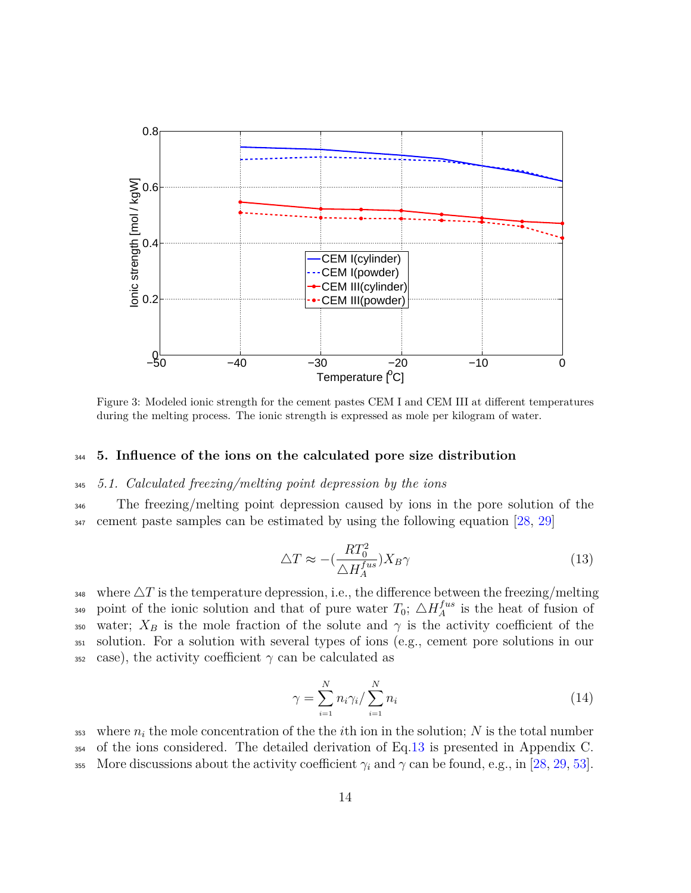<span id="page-13-0"></span>

Figure 3: Modeled ionic strength for the cement pastes CEM I and CEM III at different temperatures during the melting process. The ionic strength is expressed as mole per kilogram of water.

# <sup>344</sup> **5. Influence of the ions on the calculated pore size distribution**

# <sup>345</sup> *5.1. Calculated freezing/melting point depression by the ions*

<sup>346</sup> The freezing/melting point depression caused by ions in the pore solution of the <sup>347</sup> cement paste samples can be estimated by using the following equation [\[28,](#page-28-5) [29\]](#page-28-6)

<span id="page-13-1"></span>
$$
\Delta T \approx -(\frac{RT_0^2}{\Delta H_A^{fus}})X_B \gamma \tag{13}
$$

 $348$  where  $\Delta T$  is the temperature depression, i.e., the difference between the freezing/melting point of the ionic solution and that of pure water  $T_0$ ;  $\Delta H_A^{fus}$  is the heat of fusion of 350 water;  $X_B$  is the mole fraction of the solute and  $\gamma$  is the activity coefficient of the <sup>351</sup> solution. For a solution with several types of ions (e.g., cement pore solutions in our  $352 \text{ case}$ , the activity coefficient  $\gamma$  can be calculated as

<span id="page-13-2"></span>
$$
\gamma = \sum_{i=1}^{N} n_i \gamma_i / \sum_{i=1}^{N} n_i \tag{14}
$$

 $\frac{3}{5}$  where  $n_i$  the mole concentration of the the *i*th ion in the solution; *N* is the total number <sup>354</sup> of the ions considered. The detailed derivation of Eq[.13](#page-13-1) is presented in Appendix C. 355 More discussions about the activity coefficient  $\gamma_i$  and  $\gamma$  can be found, e.g., in [\[28,](#page-28-5) [29,](#page-28-6) [53\]](#page-30-8).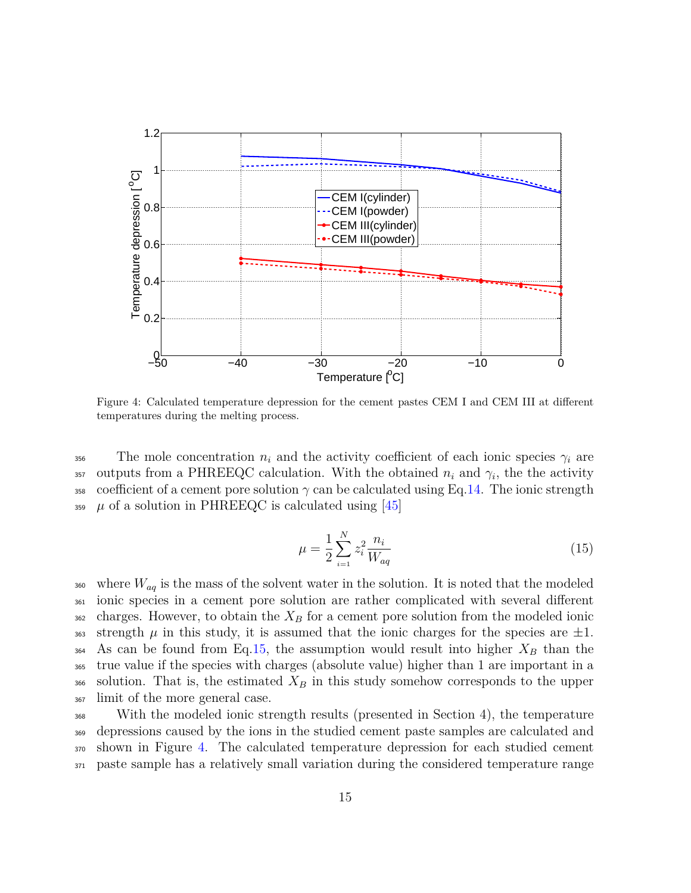<span id="page-14-1"></span>

Figure 4: Calculated temperature depression for the cement pastes CEM I and CEM III at different temperatures during the melting process.

356 The mole concentration  $n_i$  and the activity coefficient of each ionic species  $\gamma_i$  are 357 outputs from a PHREEQC calculation. With the obtained  $n_i$  and  $\gamma_i$ , the the activity 358 coefficient of a cement pore solution  $\gamma$  can be calculated using Eq[.14.](#page-13-2) The ionic strength  $\mu$  of a solution in PHREEQC is calculated using [\[45\]](#page-30-0)

<span id="page-14-0"></span>
$$
\mu = \frac{1}{2} \sum_{i=1}^{N} z_i^2 \frac{n_i}{W_{aq}} \tag{15}
$$

<sup>360</sup> where  $W_{aq}$  is the mass of the solvent water in the solution. It is noted that the modeled ionic species in a cement pore solution are rather complicated with several different charges. However, to obtain the  $X_B$  for a cement pore solution from the modeled ionic 363 strength  $\mu$  in this study, it is assumed that the ionic charges for the species are  $\pm 1$ . <sup>364</sup> As can be found from Eq[.15,](#page-14-0) the assumption would result into higher  $X_B$  than the true value if the species with charges (absolute value) higher than 1 are important in a solution. That is, the estimated *X<sup>B</sup>* in this study somehow corresponds to the upper limit of the more general case.

 With the modeled ionic strength results (presented in Section 4), the temperature depressions caused by the ions in the studied cement paste samples are calculated and shown in Figure [4.](#page-14-1) The calculated temperature depression for each studied cement paste sample has a relatively small variation during the considered temperature range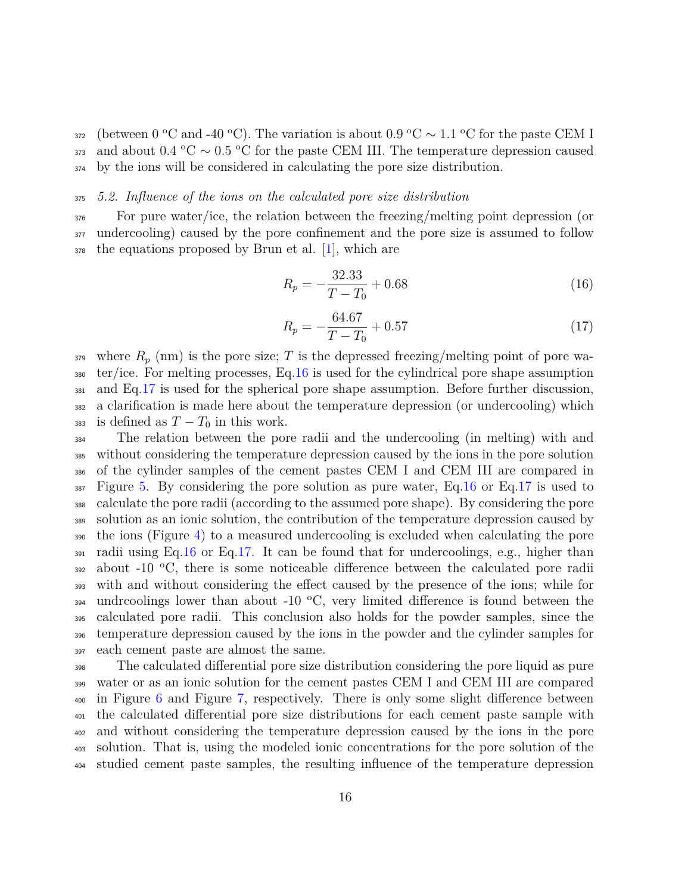372 (between 0 <sup>o</sup>C and -40 <sup>o</sup>C). The variation is about 0.9 <sup>o</sup>C ~ 1.1 <sup>o</sup>C for the paste CEM I 373 and about 0.4  $\rm{^{\circ}C} \sim 0.5$  °C for the paste CEM III. The temperature depression caused by the ions will be considered in calculating the pore size distribution.

#### *5.2. Influence of the ions on the calculated pore size distribution*

 For pure water/ice, the relation between the freezing/melting point depression (or undercooling) caused by the pore confinement and the pore size is assumed to follow the equations proposed by Brun et al. [\[1\]](#page-26-0), which are

<span id="page-15-0"></span>
$$
R_p = -\frac{32.33}{T - T_0} + 0.68\tag{16}
$$

<span id="page-15-1"></span>
$$
R_p = -\frac{64.67}{T - T_0} + 0.57\tag{17}
$$

 $_{379}$  where  $R_p$  (nm) is the pore size; T is the depressed freezing/melting point of pore wa- ter/ice. For melting processes, Eq[.16](#page-15-0) is used for the cylindrical pore shape assumption and Eq[.17](#page-15-1) is used for the spherical pore shape assumption. Before further discussion, a clarification is made here about the temperature depression (or undercooling) which 383 is defined as  $T - T_0$  in this work.

 The relation between the pore radii and the undercooling (in melting) with and without considering the temperature depression caused by the ions in the pore solution of the cylinder samples of the cement pastes CEM I and CEM III are compared in Figure [5.](#page-16-0) By considering the pore solution as pure water, Eq[.16](#page-15-0) or Eq[.17](#page-15-1) is used to calculate the pore radii (according to the assumed pore shape). By considering the pore solution as an ionic solution, the contribution of the temperature depression caused by the ions (Figure [4\)](#page-14-1) to a measured undercooling is excluded when calculating the pore radii using Eq[.16](#page-15-0) or Eq[.17.](#page-15-1) It can be found that for undercoolings, e.g., higher than about -10 °C, there is some noticeable difference between the calculated pore radii with and without considering the effect caused by the presence of the ions; while for  $_{394}$  undreoolings lower than about -10  $^{\circ}$ C, very limited difference is found between the calculated pore radii. This conclusion also holds for the powder samples, since the temperature depression caused by the ions in the powder and the cylinder samples for each cement paste are almost the same.

 The calculated differential pore size distribution considering the pore liquid as pure water or as an ionic solution for the cement pastes CEM I and CEM III are compared in Figure [6](#page-17-0) and Figure [7,](#page-18-0) respectively. There is only some slight difference between the calculated differential pore size distributions for each cement paste sample with and without considering the temperature depression caused by the ions in the pore solution. That is, using the modeled ionic concentrations for the pore solution of the studied cement paste samples, the resulting influence of the temperature depression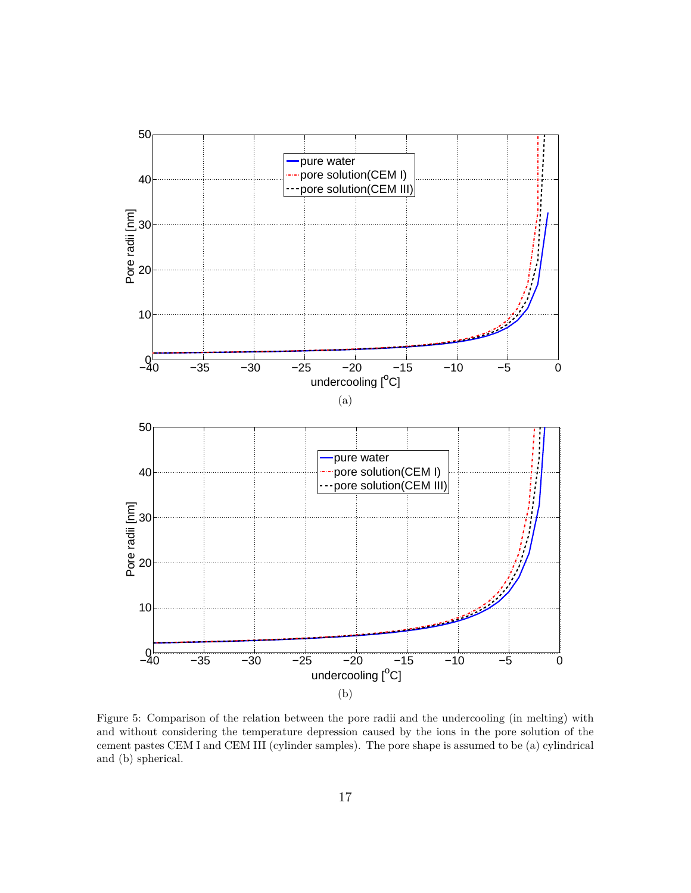<span id="page-16-0"></span>

Figure 5: Comparison of the relation between the pore radii and the undercooling (in melting) with and without considering the temperature depression caused by the ions in the pore solution of the cement pastes CEM I and CEM III (cylinder samples). The pore shape is assumed to be (a) cylindrical and (b) spherical.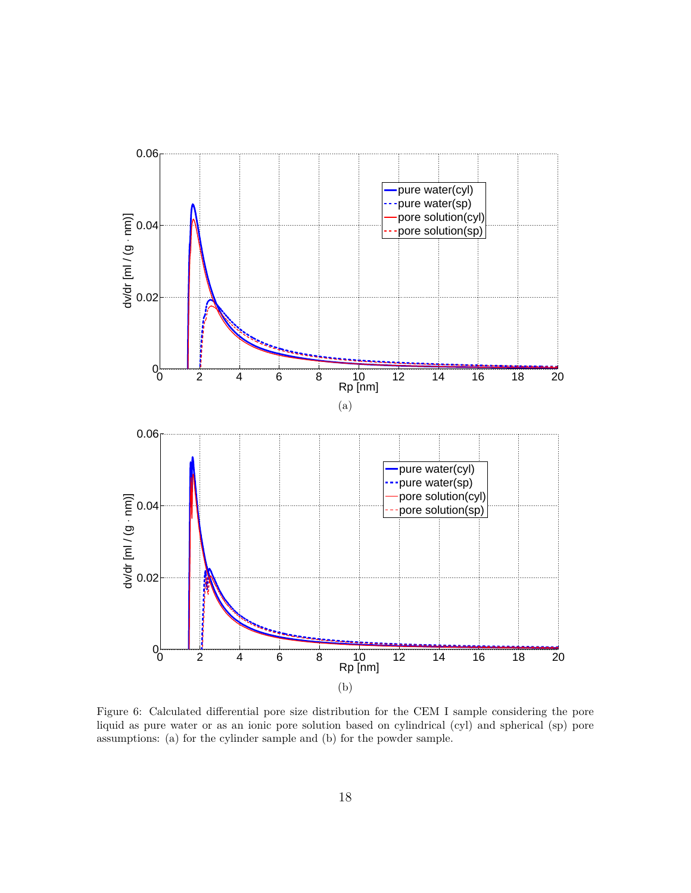<span id="page-17-0"></span>

Figure 6: Calculated differential pore size distribution for the CEM I sample considering the pore liquid as pure water or as an ionic pore solution based on cylindrical (cyl) and spherical (sp) pore assumptions: (a) for the cylinder sample and (b) for the powder sample.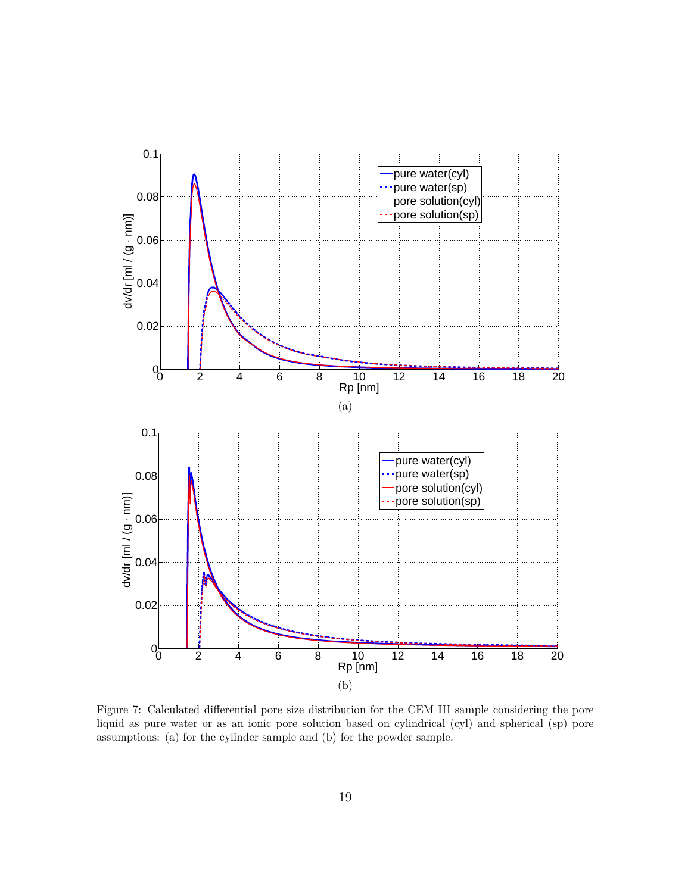<span id="page-18-0"></span>

Figure 7: Calculated differential pore size distribution for the CEM III sample considering the pore liquid as pure water or as an ionic pore solution based on cylindrical (cyl) and spherical (sp) pore assumptions: (a) for the cylinder sample and (b) for the powder sample.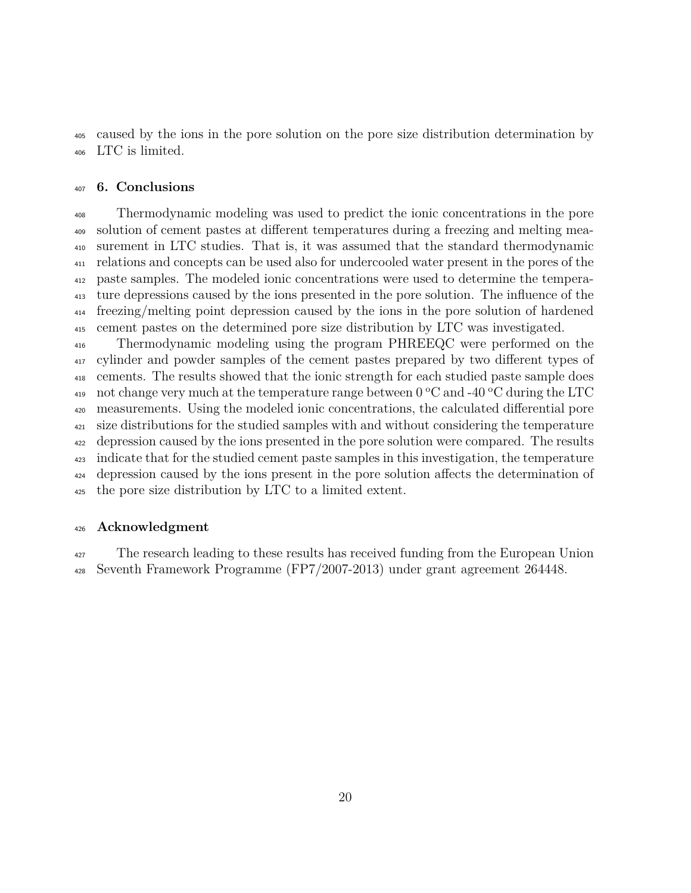caused by the ions in the pore solution on the pore size distribution determination by LTC is limited.

# **6. Conclusions**

 Thermodynamic modeling was used to predict the ionic concentrations in the pore solution of cement pastes at different temperatures during a freezing and melting mea- surement in LTC studies. That is, it was assumed that the standard thermodynamic relations and concepts can be used also for undercooled water present in the pores of the paste samples. The modeled ionic concentrations were used to determine the tempera- ture depressions caused by the ions presented in the pore solution. The influence of the freezing/melting point depression caused by the ions in the pore solution of hardened cement pastes on the determined pore size distribution by LTC was investigated.

 Thermodynamic modeling using the program PHREEQC were performed on the <sup>417</sup> cylinder and powder samples of the cement pastes prepared by two different types of cements. The results showed that the ionic strength for each studied paste sample does <sup>419</sup> not change very much at the temperature range between 0  $\rm{^{\circ}C}$  and -40  $\rm{^{\circ}C}$  during the LTC measurements. Using the modeled ionic concentrations, the calculated differential pore size distributions for the studied samples with and without considering the temperature depression caused by the ions presented in the pore solution were compared. The results indicate that for the studied cement paste samples in this investigation, the temperature depression caused by the ions present in the pore solution affects the determination of the pore size distribution by LTC to a limited extent.

# **Acknowledgment**

<sup>427</sup> The research leading to these results has received funding from the European Union Seventh Framework Programme (FP7/2007-2013) under grant agreement 264448.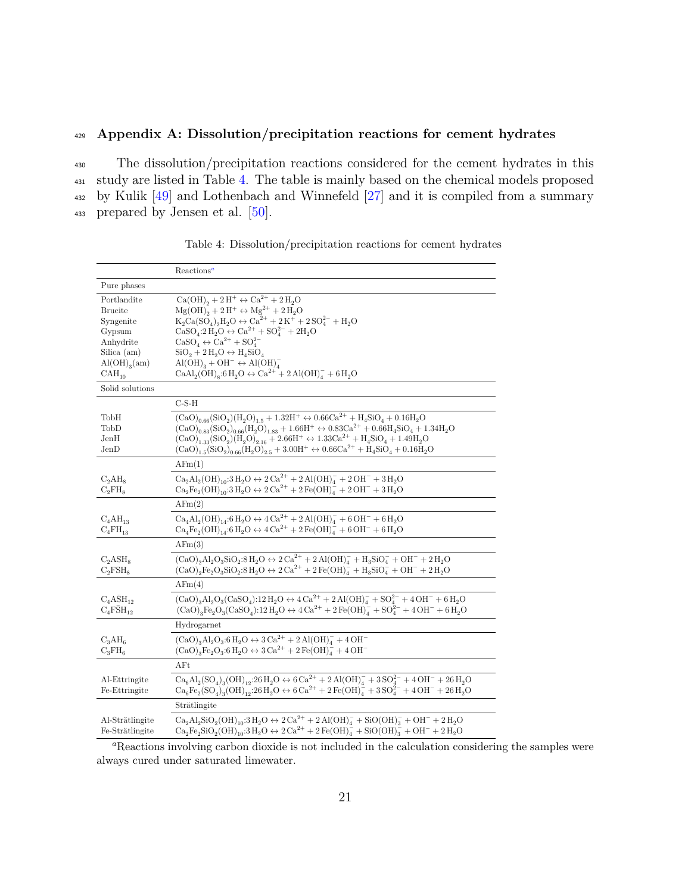# <sup>429</sup> **Appendix A: Dissolution/precipitation reactions for cement hydrates**

<sup>430</sup> The dissolution/precipitation reactions considered for the cement hydrates in this study are listed in Table [4.](#page-20-0) The table is mainly based on the chemical models proposed by Kulik [\[49\]](#page-30-4) and Lothenbach and Winnefeld [\[27\]](#page-28-4) and it is compiled from a summary prepared by Jensen et al. [\[50\]](#page-30-5).

|                                                                                                                                       | $Reactions^a$                                                                                                                                                                                                                                                                                                                                                                                                                                                                                                                                     |
|---------------------------------------------------------------------------------------------------------------------------------------|---------------------------------------------------------------------------------------------------------------------------------------------------------------------------------------------------------------------------------------------------------------------------------------------------------------------------------------------------------------------------------------------------------------------------------------------------------------------------------------------------------------------------------------------------|
| Pure phases                                                                                                                           |                                                                                                                                                                                                                                                                                                                                                                                                                                                                                                                                                   |
| Portlandite<br><b>Brucite</b><br>Syngenite<br>Gypsum<br>Anhydrite<br>Silica (am)<br>$\text{Al}(\text{OH})_3(\text{am})$<br>$CAH_{10}$ | $Ca(OH)2 + 2 H+ \leftrightarrow Ca2+ + 2 H2O$<br>$Mg(OH)_2 + 2H^+ \leftrightarrow Mg^{2+} + 2H_2O$<br>$K_2Ca(SO_4), H_2O \leftrightarrow Ca^{2+} + 2K^+ + 2SO_4^{2-} + H_2O$<br>$CaSO_4:2\,\mathrm{H}_2\mathrm{O}\leftrightarrow\mathrm{Ca}^{2+}+\mathrm{SO}_4^{2-}+2\mathrm{H}_2\mathrm{O}$<br>$CaSO_4 \leftrightarrow Ca^{2+} + SO_4^{2-}$<br>$SiO2 + 2H2O \leftrightarrow H4SiO4$<br>$\text{Al}(\text{OH})_3 + \text{OH}^- \leftrightarrow \text{Al}(\text{OH})_4^-$<br>$CaAl_2(OH)_8: 6 H_2O \leftrightarrow Ca^{2+} + 2 Al(OH)_4^- + 6 H_2O$ |
| Solid solutions                                                                                                                       |                                                                                                                                                                                                                                                                                                                                                                                                                                                                                                                                                   |
|                                                                                                                                       | $C-S-H$                                                                                                                                                                                                                                                                                                                                                                                                                                                                                                                                           |
| TobH<br>TobD<br>JenH<br>JenD                                                                                                          | $(CaO)_{0.66} (SiO_2) (H_2O)_{1.5} + 1.32H^+ \leftrightarrow 0.66Ca^{2+} + H_4SiO_4 + 0.16H_2O$<br>$\mathrm{(CaO)_{0.83}(SiO_{2})_{0.66}(H_{2}O)_{1.83}+1.66H^{+} \leftrightarrow 0.83Ca^{2+}+0.66H_{4}SiO_{4}+1.34H_{2}O}$<br>$\mathrm{(CaO)_{1.33}(SiO_{2})(H_{2}O)_{2.16}+2.66H^{+} \leftrightarrow 1.33Ca^{2+} + H_{4}SiO_{4} + 1.49H_{2}O}$<br>$(CaO)_{1.5} (SiO_2)_{0.66} (H_2O)_{2.5} + 3.00H^+ \leftrightarrow 0.66Ca^{2+} + H_4SiO_4 + 0.16H_2O$                                                                                         |
|                                                                                                                                       | AFm(1)                                                                                                                                                                                                                                                                                                                                                                                                                                                                                                                                            |
| $C_2AH_8$<br>$C_2FH_s$                                                                                                                | $Ca_2Al_2(OH)_{10}:3 H_2O \leftrightarrow 2 Ca^{2+} + 2 Al(OH)_4^- + 2 OH^- + 3 H_2O$<br>$Ca_2Fe_2(OH)_{10}:3 H_2O \leftrightarrow 2 Ca^{2+} + 2 Fe(OH)_4^- + 2 OH^- + 3 H_2O$                                                                                                                                                                                                                                                                                                                                                                    |
|                                                                                                                                       | AFm(2)                                                                                                                                                                                                                                                                                                                                                                                                                                                                                                                                            |
| $C_4AH_{13}$<br>$C_4FH_{13}$                                                                                                          | $Ca_4Al_2(OH)_{14}:6 H_2O \leftrightarrow 4 Ca^{2+} + 2 Al(OH)_4^- + 6 OH^- + 6 H_2O$<br>$Ca_4Fe_2(OH)_{14}:6 H_2O \leftrightarrow 4 Ca^{2+} + 2 Fe(OH)_4^- + 6 OH^- + 6 H_2O$                                                                                                                                                                                                                                                                                                                                                                    |
|                                                                                                                                       | AFm(3)                                                                                                                                                                                                                                                                                                                                                                                                                                                                                                                                            |
| $C_2ASH_8$<br>$C_2FSH_8$                                                                                                              | $(CaO)2Al2O3SiO2:8 H2O \leftrightarrow 2 Ca2+ + 2 Al(OH)4- + H3SiO4- + OH- + 2 H2O$<br>$(CaO)_{2}Fe_{2}O_{3}SiO_{2} : 8 H_{2}O \leftrightarrow 2 Ca^{2+} + 2 Fe(OH)_{4}^{-} + H_{3}SiO_{4}^{-} + OH^{-} + 2 H_{2}O$                                                                                                                                                                                                                                                                                                                               |
|                                                                                                                                       | AFm(4)                                                                                                                                                                                                                                                                                                                                                                                                                                                                                                                                            |
| $C_4ASH_{12}$<br>$C_4F\bar{S}H_{12}$                                                                                                  | $(CaO)3Al2O3(CaSO4):12 H2O \leftrightarrow 4 Ca2+ + 2 Al(OH)4- + SO42- + 4 OH- + 6 H2O$<br>$(CaO)_{3}Fe_{2}O_{3}(CaSO_{4})$ :12 H <sub>2</sub> O $\leftrightarrow$ 4 Ca <sup>2+</sup> + 2 Fe(OH) <sub>4</sub> + SO <sub>4</sub> <sup>-</sup> + 4 OH <sup>-</sup> + 6 H <sub>2</sub> O                                                                                                                                                                                                                                                             |
|                                                                                                                                       | Hydrogarnet                                                                                                                                                                                                                                                                                                                                                                                                                                                                                                                                       |
| $C_3AH_6$<br>$C_3FH_6$                                                                                                                | $(CaO)3Al2O3: 6 H2O \leftrightarrow 3 Ca2+ + 2 Al(OH)4 + 4 OH-$<br>$(CaO)3Fe2O3:6 H2O \leftrightarrow 3 Ca2+ + 2 Fe(OH)4- + 4 OH-$                                                                                                                                                                                                                                                                                                                                                                                                                |
|                                                                                                                                       | $A$ Ft                                                                                                                                                                                                                                                                                                                                                                                                                                                                                                                                            |
| Al-Ettringite<br>Fe-Ettringite                                                                                                        | $Ca_6Al_2(SO_4)_3(OH)_{12}:26 H_2O \leftrightarrow 6 Ca^{2+} + 2 Al(OH)_4^- + 3 SO_4^{2-} + 4 OH^- + 26 H_2O$<br>$Ca_6Fe_2(SO_4)_3(OH)_{12}^-$ :26 $H_2O \leftrightarrow 6 Ca^{2+} + 2 Fe(OH)_4^+ + 3 SO_4^{2-} + 4 OH^- + 26 H_2O$                                                                                                                                                                                                                                                                                                               |
|                                                                                                                                       | Strätlingite                                                                                                                                                                                                                                                                                                                                                                                                                                                                                                                                      |
| Al-Strätlingite<br>Fe-Strätlingite                                                                                                    | $Ca_2Al_2SiO_2(OH)_{10}:3 H_2O \leftrightarrow 2 Ca^{2+} + 2 Al(OH)_4^- + SiO(OH)_3^- + OH^- + 2 H_2O$<br>$Ca_2Fe_2SiO_2(OH)_{10}^-3H_2O \leftrightarrow 2 Ca^{2+} + 2 Fe(OH)_4^- + SiO(OH)_3^- + OH^- + 2 H_2O$                                                                                                                                                                                                                                                                                                                                  |

<span id="page-20-0"></span>Table 4: Dissolution/precipitation reactions for cement hydrates

<span id="page-20-1"></span>*<sup>a</sup>*Reactions involving carbon dioxide is not included in the calculation considering the samples were always cured under saturated limewater.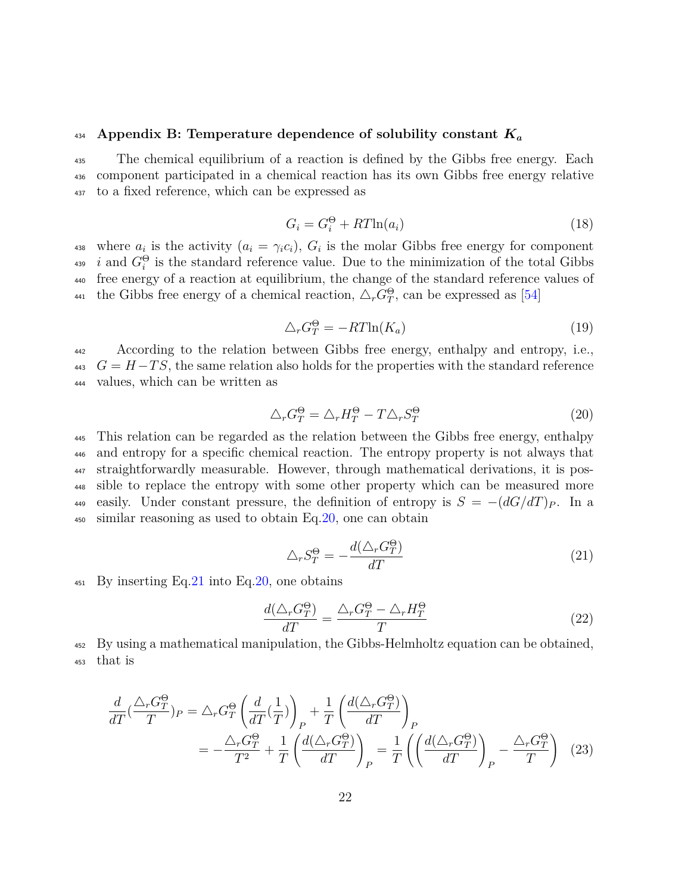## <sup>434</sup> **Appendix B: Temperature dependence of solubility constant** *K<sup>a</sup>*

<sup>435</sup> The chemical equilibrium of a reaction is defined by the Gibbs free energy. Each <sup>436</sup> component participated in a chemical reaction has its own Gibbs free energy relative <sup>437</sup> to a fixed reference, which can be expressed as

$$
G_i = G_i^{\Theta} + RT\ln(a_i)
$$
\n(18)

where  $a_i$  is the activity  $(a_i = \gamma_i c_i)$ ,  $G_i$  is the molar Gibbs free energy for component <sup>439</sup> *i* and  $G_i^{\Theta}$  is the standard reference value. Due to the minimization of the total Gibbs <sup>440</sup> free energy of a reaction at equilibrium, the change of the standard reference values of the Gibbs free energy of a chemical reaction,  $\triangle_r G_T^{\Theta}$ , can be expressed as [\[54\]](#page-30-9)

<span id="page-21-4"></span>
$$
\triangle_r G_T^{\Theta} = -RT\ln(K_a) \tag{19}
$$

<sup>442</sup> According to the relation between Gibbs free energy, enthalpy and entropy, i.e.,  $G = H - TS$ , the same relation also holds for the properties with the standard reference <sup>444</sup> values, which can be written as

<span id="page-21-0"></span>
$$
\triangle_r G_T^{\Theta} = \triangle_r H_T^{\Theta} - T \triangle_r S_T^{\Theta} \tag{20}
$$

 This relation can be regarded as the relation between the Gibbs free energy, enthalpy and entropy for a specific chemical reaction. The entropy property is not always that straightforwardly measurable. However, through mathematical derivations, it is pos- sible to replace the entropy with some other property which can be measured more 449 easily. Under constant pressure, the definition of entropy is  $S = -(dG/dT)_P$ . In a similar reasoning as used to obtain Eq[.20,](#page-21-0) one can obtain

<span id="page-21-1"></span>
$$
\triangle_r S_T^{\Theta} = -\frac{d(\triangle_r G_T^{\Theta})}{dT} \tag{21}
$$

 $451$  By inserting Eq. 21 into Eq. 20, one obtains

<span id="page-21-3"></span><span id="page-21-2"></span>
$$
\frac{d(\Delta_r G_T^{\Theta})}{dT} = \frac{\Delta_r G_T^{\Theta} - \Delta_r H_T^{\Theta}}{T}
$$
\n(22)

<sup>452</sup> By using a mathematical manipulation, the Gibbs-Helmholtz equation can be obtained, <sup>453</sup> that is

$$
\frac{d}{dT}(\frac{\Delta_r G_T^{\Theta}}{T})_P = \Delta_r G_T^{\Theta} \left(\frac{d}{dT}(\frac{1}{T})\right)_P + \frac{1}{T} \left(\frac{d(\Delta_r G_T^{\Theta})}{dT}\right)_P
$$
\n
$$
= -\frac{\Delta_r G_T^{\Theta}}{T^2} + \frac{1}{T} \left(\frac{d(\Delta_r G_T^{\Theta})}{dT}\right)_P = \frac{1}{T} \left(\left(\frac{d(\Delta_r G_T^{\Theta})}{dT}\right)_P - \frac{\Delta_r G_T^{\Theta}}{T}\right) \tag{23}
$$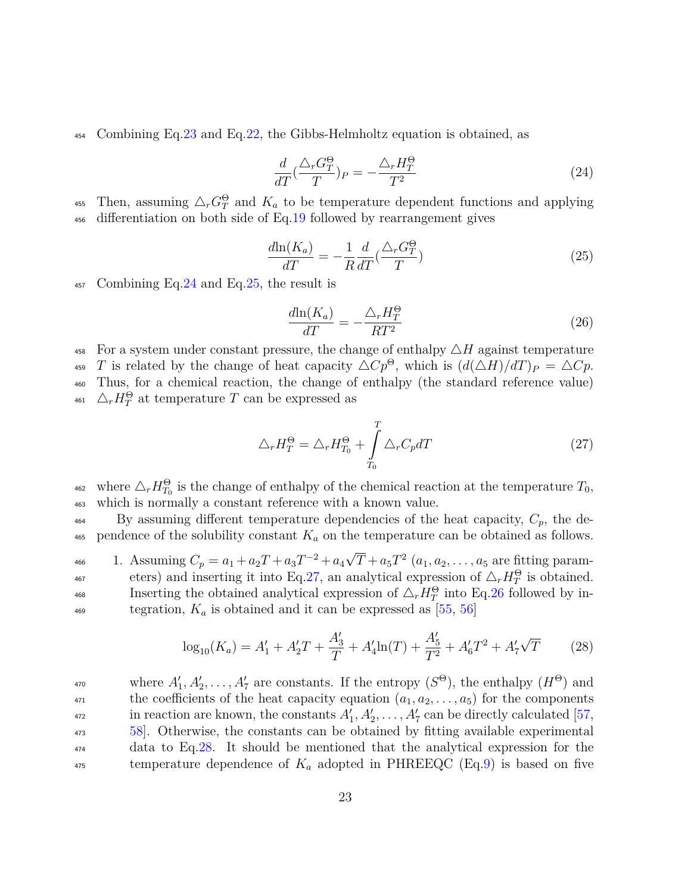<sup>454</sup> Combining Eq[.23](#page-21-2) and Eq[.22,](#page-21-3) the Gibbs-Helmholtz equation is obtained, as

<span id="page-22-0"></span>
$$
\frac{d}{dT}\left(\frac{\Delta_r G_T^{\Theta}}{T}\right)_P = -\frac{\Delta_r H_T^{\Theta}}{T^2} \tag{24}
$$

<sup>455</sup> Then, assuming  $\Delta_r G_T^{\Theta}$  and  $K_a$  to be temperature dependent functions and applying <sup>456</sup> differentiation on both side of Eq[.19](#page-21-4) followed by rearrangement gives

<span id="page-22-1"></span>
$$
\frac{d\ln(K_a)}{dT} = -\frac{1}{R}\frac{d}{dT}\left(\frac{\triangle_r G_T^{\Theta}}{T}\right) \tag{25}
$$

 $457$  Combining Eq. 24 and Eq. 25, the result is

<span id="page-22-3"></span>
$$
\frac{d\ln(K_a)}{dT} = -\frac{\triangle_r H_T^{\Theta}}{RT^2} \tag{26}
$$

 $\frac{458}{458}$  For a system under constant pressure, the change of enthalpy  $\triangle H$  against temperature <sup>459</sup> *T* is related by the change of heat capacity  $\Delta Cp^{\Theta}$ , which is  $(d(\Delta H)/dT)_P = \Delta Cp$ . Thus, for a chemical reaction, the change of enthalpy (the standard reference value)  $\Delta_r H_T^{\Theta}$  at temperature *T* can be expressed as

<span id="page-22-2"></span>
$$
\triangle_r H_T^{\Theta} = \triangle_r H_{T_0}^{\Theta} + \int_{T_0}^T \triangle_r C_p dT \tag{27}
$$

<sup>462</sup> where  $\Delta_r H_{T_0}^{\Theta}$  is the change of enthalpy of the chemical reaction at the temperature  $T_0$ , <sup>463</sup> which is normally a constant reference with a known value.

 $\mathcal{A}_{464}$  By assuming different temperature dependencies of the heat capacity,  $C_p$ , the de-465 pendence of the solubility constant  $K_a$  on the temperature can be obtained as follows.

1. Assuming  $C_p = a_1 + a_2T + a_3T^{-2} + a_4$ √ 466 1. Assuming  $C_p = a_1 + a_2T + a_3T^{-2} + a_4\sqrt{T} + a_5T^2$   $(a_1, a_2, \ldots, a_5$  are fitting param-eters) and inserting it into Eq[.27,](#page-22-2) an analytical expression of  $\Delta_r H_T^{\Theta}$  is obtained. Inserting the obtained analytical expression of  $\triangle_r H_T^{\Theta}$  into Eq[.26](#page-22-3) followed by in- $\text{tegration}, K_a \text{ is obtained and it can be expressed as } [55, 56]$  $\text{tegration}, K_a \text{ is obtained and it can be expressed as } [55, 56]$  $\text{tegration}, K_a \text{ is obtained and it can be expressed as } [55, 56]$  $\text{tegration}, K_a \text{ is obtained and it can be expressed as } [55, 56]$ 

<span id="page-22-4"></span>
$$
\log_{10}(K_a) = A'_1 + A'_2T + \frac{A'_3}{T} + A'_4\ln(T) + \frac{A'_5}{T^2} + A'_6T^2 + A'_7\sqrt{T}
$$
 (28)

<sup>470</sup> where  $A'_1, A'_2, \ldots, A'_7$  are constants. If the entropy  $(S^{\Theta})$ , the enthalpy  $(H^{\Theta})$  and <sup>471</sup> the coefficients of the heat capacity equation  $(a_1, a_2, \ldots, a_5)$  for the components in reaction are known, the constants  $A'_1, A'_2, \ldots, A'_7$  can be directly calculated [\[57,](#page-31-0) <sup>473</sup> [58\]](#page-31-1). Otherwise, the constants can be obtained by fitting available experimental <sup>474</sup> data to Eq[.28.](#page-22-4) It should be mentioned that the analytical expression for the  $\epsilon_{475}$  temperature dependence of  $K_a$  adopted in PHREEQC (Eq[.9\)](#page-10-1) is based on five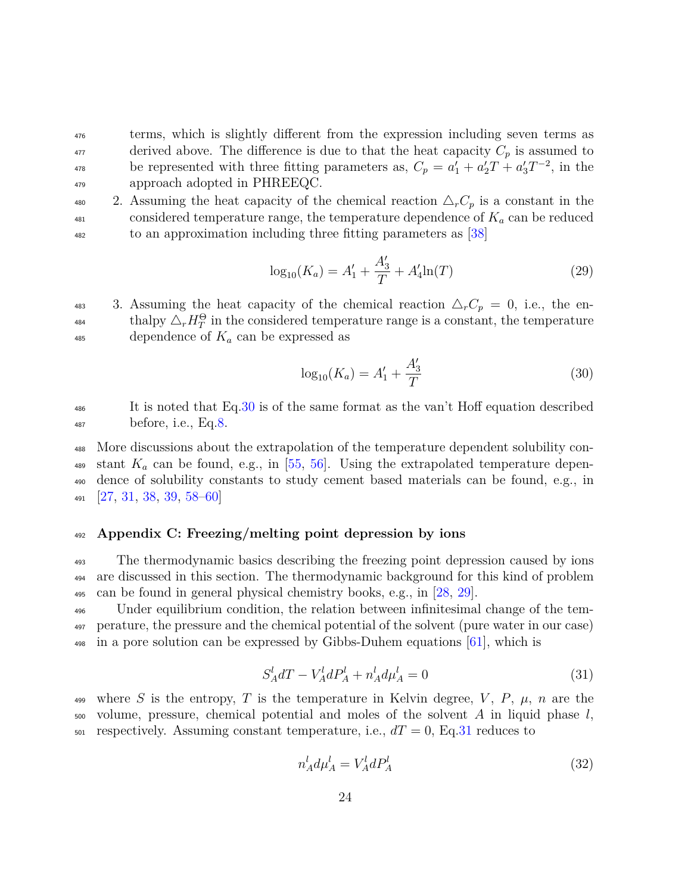terms, which is slightly different from the expression including seven terms as derived above. The difference is due to that the heat capacity  $C_p$  is assumed to be represented with three fitting parameters as,  $C_p = a'_1 + a'_2T + a'_3T^{-2}$ , in the approach adopted in PHREEQC.

480 2. Assuming the heat capacity of the chemical reaction  $\Delta_r C_p$  is a constant in the <sup>481</sup> considered temperature range, the temperature dependence of *K<sup>a</sup>* can be reduced <sup>482</sup> to an approximation including three fitting parameters as [\[38\]](#page-29-4)

$$
\log_{10}(K_a) = A_1' + \frac{A_3'}{T} + A_4'\ln(T) \tag{29}
$$

483 3. Assuming the heat capacity of the chemical reaction  $\Delta_r C_p = 0$ , i.e., the enthalpy  $\Delta_r H_T^{\Theta}$  in the considered temperature range is a constant, the temperature  $485$  dependence of  $K_a$  can be expressed as

<span id="page-23-0"></span>
$$
\log_{10}(K_a) = A_1' + \frac{A_3'}{T}
$$
\n(30)

<sup>486</sup> It is noted that Eq[.30](#page-23-0) is of the same format as the van't Hoff equation described  $_{487}$  before, i.e., Eq. 8.

 More discussions about the extrapolation of the temperature dependent solubility con-489 stant  $K_a$  can be found, e.g., in  $[55, 56]$  $[55, 56]$  $[55, 56]$ . Using the extrapolated temperature depen- dence of solubility constants to study cement based materials can be found, e.g., in [\[27,](#page-28-4) [31,](#page-28-8) [38,](#page-29-4) [39,](#page-29-9) [58–](#page-31-1)[60\]](#page-31-2)

# <sup>492</sup> **Appendix C: Freezing/melting point depression by ions**

<sup>493</sup> The thermodynamic basics describing the freezing point depression caused by ions <sup>494</sup> are discussed in this section. The thermodynamic background for this kind of problem <sup>495</sup> can be found in general physical chemistry books, e.g., in [\[28,](#page-28-5) [29\]](#page-28-6).

<sup>496</sup> Under equilibrium condition, the relation between infinitesimal change of the tem-<sup>497</sup> perature, the pressure and the chemical potential of the solvent (pure water in our case)  $\frac{498}{498}$  in a pore solution can be expressed by Gibbs-Duhem equations [\[61\]](#page-31-3), which is

<span id="page-23-1"></span>
$$
S_A^l dT - V_A^l dP_A^l + n_A^l d\mu_A^l = 0 \tag{31}
$$

499 where *S* is the entropy, *T* is the temperature in Kelvin degree, *V*, *P*,  $\mu$ , *n* are the <sup>500</sup> volume, pressure, chemical potential and moles of the solvent *A* in liquid phase *l*,  $\epsilon_{501}$  respectively. Assuming constant temperature, i.e.,  $dT = 0$ , Eq[.31](#page-23-1) reduces to

<span id="page-23-2"></span>
$$
n_A^l d\mu_A^l = V_A^l dP_A^l \tag{32}
$$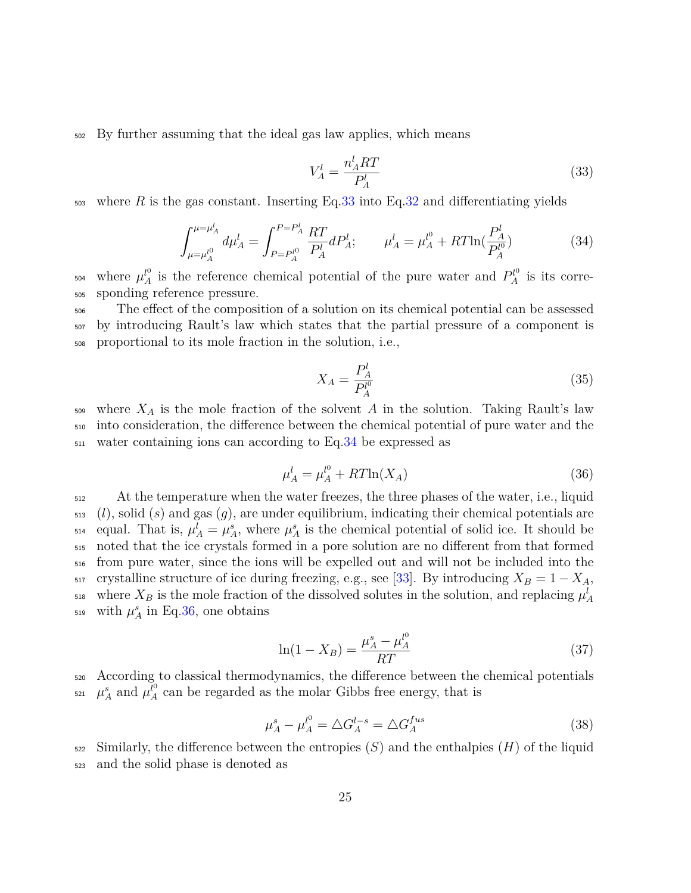<sup>502</sup> By further assuming that the ideal gas law applies, which means

<span id="page-24-0"></span>
$$
V_A^l = \frac{n_A^l RT}{P_A^l} \tag{33}
$$

 $\frac{503}{100}$  where *R* is the gas constant. Inserting Eq[.33](#page-24-0) into Eq[.32](#page-23-2) and differentiating yields

<span id="page-24-1"></span>
$$
\int_{\mu=\mu_A^{l^0}}^{\mu=\mu_A^l} d\mu_A^l = \int_{P=P_A^{l^0}}^{P=P_A^l} \frac{RT}{P_A^l} dP_A^l; \qquad \mu_A^l = \mu_A^{l^0} + RT \ln(\frac{P_A^l}{P_A^{l^0}})
$$
(34)

<sup>10</sup></sup> subset  $\mu_A^{l^0}$  is the reference chemical potential of the pure water and  $P_A^{l^0}$  is its corre-<sup>505</sup> sponding reference pressure.

<sup>506</sup> The effect of the composition of a solution on its chemical potential can be assessed <sup>507</sup> by introducing Rault's law which states that the partial pressure of a component is <sup>508</sup> proportional to its mole fraction in the solution, i.e.,

$$
X_A = \frac{P_A^l}{P_A^{l^0}}\tag{35}
$$

509 where  $X_A$  is the mole fraction of the solvent A in the solution. Taking Rault's law <sup>510</sup> into consideration, the difference between the chemical potential of pure water and the <sup>511</sup> water containing ions can according to Eq[.34](#page-24-1) be expressed as

<span id="page-24-2"></span>
$$
\mu_A^l = \mu_A^{l^0} + RT \ln(X_A) \tag{36}
$$

<sup>512</sup> At the temperature when the water freezes, the three phases of the water, i.e., liquid <sup>513</sup> (*l*), solid (*s*) and gas (*g*), are under equilibrium, indicating their chemical potentials are <sup>514</sup> equal. That is,  $\mu_A^l = \mu_A^s$ , where  $\mu_A^s$  is the chemical potential of solid ice. It should be <sup>515</sup> noted that the ice crystals formed in a pore solution are no different from that formed <sup>516</sup> from pure water, since the ions will be expelled out and will not be included into the 517 crystalline structure of ice during freezing, e.g., see [\[33\]](#page-28-10). By introducing  $X_B = 1 - X_A$ ,  $\mu_A$  where  $X_B$  is the mole fraction of the dissolved solutes in the solution, and replacing  $\mu_A^l$  $\sum_{n=1}^{\infty}$  with  $\mu_A^s$  in Eq[.36,](#page-24-2) one obtains

<span id="page-24-4"></span>
$$
\ln(1 - X_B) = \frac{\mu_A^s - \mu_A^{l^0}}{RT}
$$
 (37)

<sup>520</sup> According to classical thermodynamics, the difference between the chemical potentials  $\mu_A^s$  and  $\mu_A^{l_0}$  can be regarded as the molar Gibbs free energy, that is

<span id="page-24-3"></span>
$$
\mu_A^s - \mu_A^{l^0} = \Delta G_A^{l-s} = \Delta G_A^{fus} \tag{38}
$$

 $\frac{1}{2}$  Similarly, the difference between the entropies (*S*) and the enthalpies (*H*) of the liquid <sup>523</sup> and the solid phase is denoted as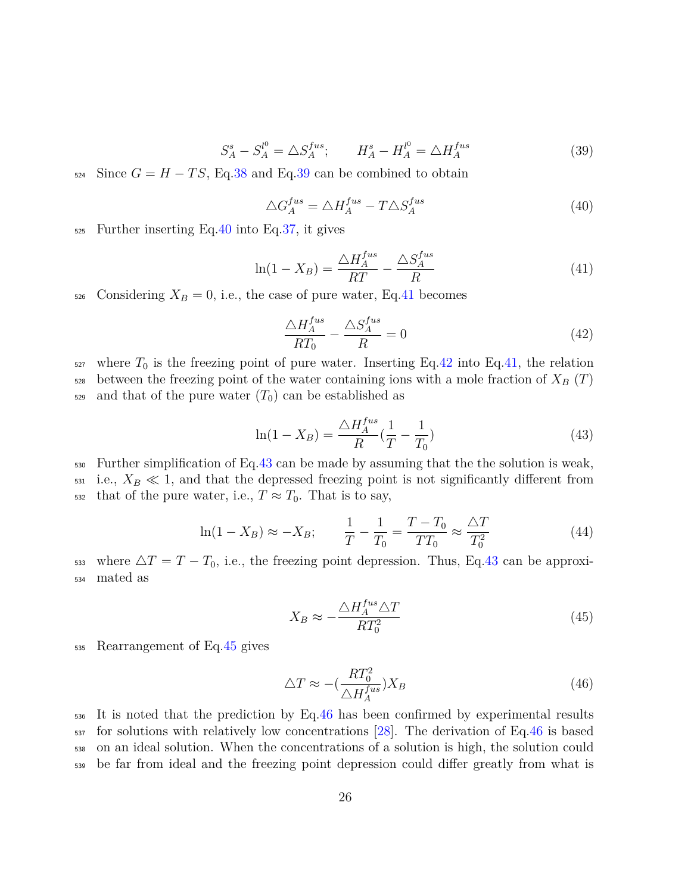<span id="page-25-0"></span>
$$
S_A^s - S_A^{l^0} = \Delta S_A^{fus}; \qquad H_A^s - H_A^{l^0} = \Delta H_A^{fus}
$$
 (39)

 $524$  Since  $G = H - TS$ , Eq[.38](#page-24-3) and Eq[.39](#page-25-0) can be combined to obtain

<span id="page-25-1"></span>
$$
\Delta G_A^{fus} = \Delta H_A^{fus} - T \Delta S_A^{fus} \tag{40}
$$

 $525$  Further inserting Eq. 40 into Eq. 37, it gives

<span id="page-25-2"></span>
$$
\ln(1 - X_B) = \frac{\Delta H_A^{fus}}{RT} - \frac{\Delta S_A^{fus}}{R}
$$
\n(41)

 $526$  Considering  $X_B = 0$ , i.e., the case of pure water, Eq. 41 becomes

<span id="page-25-3"></span>
$$
\frac{\triangle H_A^{fus}}{RT_0} - \frac{\triangle S_A^{fus}}{R} = 0\tag{42}
$$

 $527$  where  $T_0$  is the freezing point of pure water. Inserting Eq. 42 into Eq. 41, the relation 528 between the freezing point of the water containing ions with a mole fraction of  $X_B(T)$  $\frac{529}{2}$  and that of the pure water  $(T_0)$  can be established as

<span id="page-25-4"></span>
$$
\ln(1 - X_B) = \frac{\Delta H_A^{fus}}{R} \left(\frac{1}{T} - \frac{1}{T_0}\right) \tag{43}
$$

<sup>530</sup> Further simplification of Eq[.43](#page-25-4) can be made by assuming that the the solution is weak,  $531$  i.e.,  $X_B \ll 1$ , and that the depressed freezing point is not significantly different from 532 that of the pure water, i.e.,  $T \approx T_0$ . That is to say,

$$
\ln(1 - X_B) \approx -X_B; \qquad \frac{1}{T} - \frac{1}{T_0} = \frac{T - T_0}{TT_0} \approx \frac{\Delta T}{T_0^2}
$$
(44)

533 where  $\Delta T = T - T_0$ , i.e., the freezing point depression. Thus, Eq. 43 can be approxi-<sup>534</sup> mated as

<span id="page-25-5"></span>
$$
X_B \approx -\frac{\Delta H_A^{fus} \Delta T}{RT_0^2} \tag{45}
$$

<sup>535</sup> Rearrangement of Eq[.45](#page-25-5) gives

<span id="page-25-6"></span>
$$
\Delta T \approx -\left(\frac{RT_0^2}{\Delta H_A^{fus}}\right)X_B\tag{46}
$$

 It is noted that the prediction by Eq[.46](#page-25-6) has been confirmed by experimental results for solutions with relatively low concentrations [\[28\]](#page-28-5). The derivation of Eq[.46](#page-25-6) is based on an ideal solution. When the concentrations of a solution is high, the solution could be far from ideal and the freezing point depression could differ greatly from what is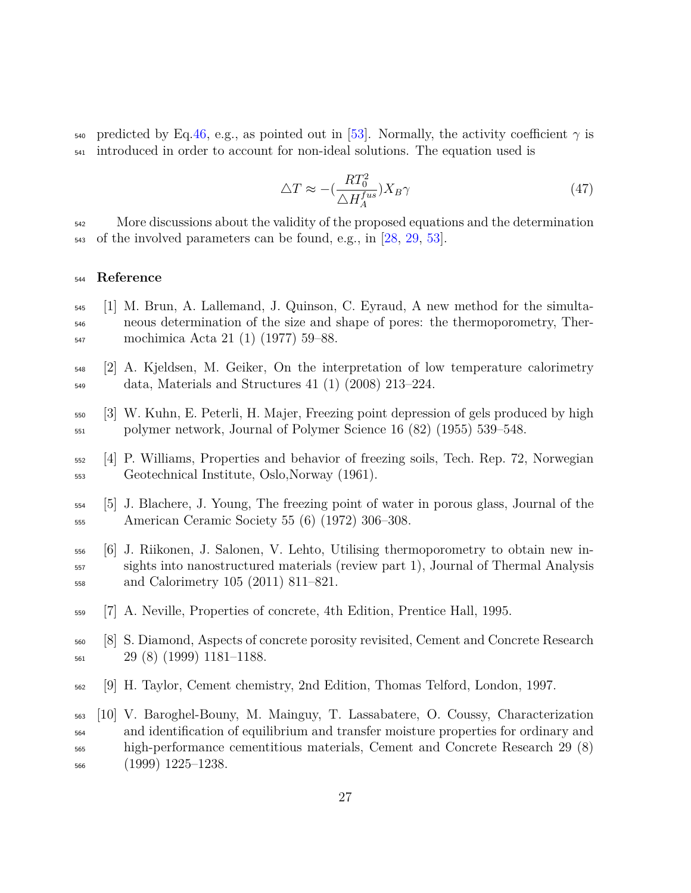540 predicted by Eq[.46,](#page-25-6) e.g., as pointed out in [\[53\]](#page-30-8). Normally, the activity coefficient  $\gamma$  is introduced in order to account for non-ideal solutions. The equation used is

$$
\Delta T \approx -(\frac{RT_0^2}{\Delta H_A^{fus}})X_B \gamma \tag{47}
$$

<sup>542</sup> More discussions about the validity of the proposed equations and the determination of the involved parameters can be found, e.g., in [\[28,](#page-28-5) [29,](#page-28-6) [53\]](#page-30-8).

# **Reference**

- <span id="page-26-0"></span> [1] M. Brun, A. Lallemand, J. Quinson, C. Eyraud, A new method for the simulta- neous determination of the size and shape of pores: the thermoporometry, Ther-mochimica Acta 21 (1) (1977) 59–88.
- <span id="page-26-1"></span> [2] A. Kjeldsen, M. Geiker, On the interpretation of low temperature calorimetry data, Materials and Structures 41 (1) (2008) 213–224.
- <span id="page-26-2"></span> [3] W. Kuhn, E. Peterli, H. Majer, Freezing point depression of gels produced by high polymer network, Journal of Polymer Science 16 (82) (1955) 539–548.
- <span id="page-26-3"></span> [4] P. Williams, Properties and behavior of freezing soils, Tech. Rep. 72, Norwegian Geotechnical Institute, Oslo,Norway (1961).
- <span id="page-26-4"></span> [5] J. Blachere, J. Young, The freezing point of water in porous glass, Journal of the American Ceramic Society 55 (6) (1972) 306–308.
- <span id="page-26-5"></span> [6] J. Riikonen, J. Salonen, V. Lehto, Utilising thermoporometry to obtain new in- sights into nanostructured materials (review part 1), Journal of Thermal Analysis and Calorimetry 105 (2011) 811–821.
- <span id="page-26-6"></span>[7] A. Neville, Properties of concrete, 4th Edition, Prentice Hall, 1995.
- <span id="page-26-7"></span> [8] S. Diamond, Aspects of concrete porosity revisited, Cement and Concrete Research 29 (8) (1999) 1181–1188.
- <span id="page-26-8"></span>[9] H. Taylor, Cement chemistry, 2nd Edition, Thomas Telford, London, 1997.

<span id="page-26-9"></span> [10] V. Baroghel-Bouny, M. Mainguy, T. Lassabatere, O. Coussy, Characterization and identification of equilibrium and transfer moisture properties for ordinary and high-performance cementitious materials, Cement and Concrete Research 29 (8) (1999) 1225–1238.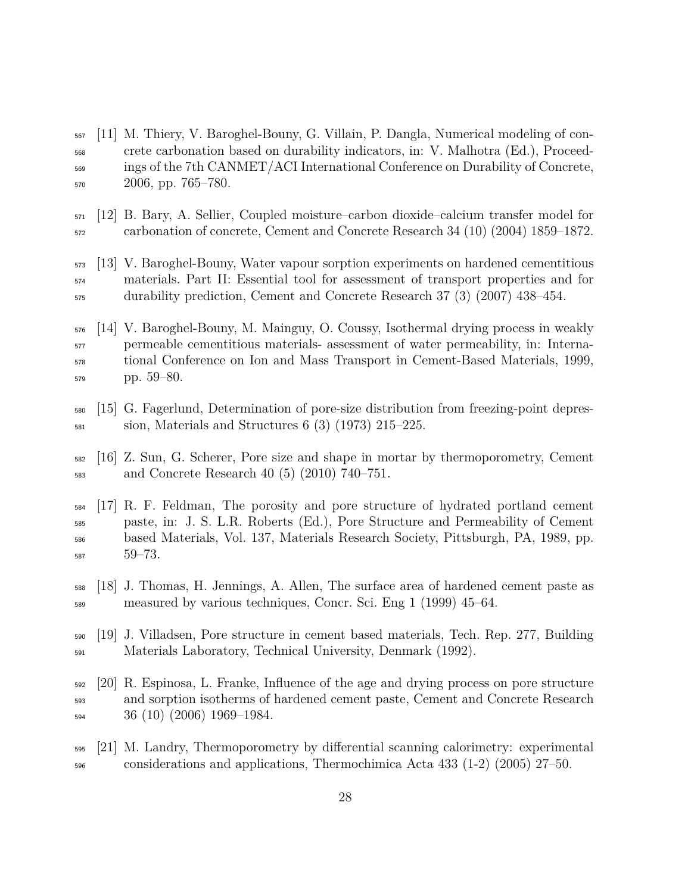- <span id="page-27-0"></span> [11] M. Thiery, V. Baroghel-Bouny, G. Villain, P. Dangla, Numerical modeling of con- crete carbonation based on durability indicators, in: V. Malhotra (Ed.), Proceed- ings of the 7th CANMET/ACI International Conference on Durability of Concrete, 2006, pp. 765–780.
- <span id="page-27-1"></span> [12] B. Bary, A. Sellier, Coupled moisture–carbon dioxide–calcium transfer model for carbonation of concrete, Cement and Concrete Research 34 (10) (2004) 1859–1872.
- <span id="page-27-2"></span> [13] V. Baroghel-Bouny, Water vapour sorption experiments on hardened cementitious materials. Part II: Essential tool for assessment of transport properties and for durability prediction, Cement and Concrete Research 37 (3) (2007) 438–454.
- <span id="page-27-3"></span> [14] V. Baroghel-Bouny, M. Mainguy, O. Coussy, Isothermal drying process in weakly permeable cementitious materials- assessment of water permeability, in: Interna- tional Conference on Ion and Mass Transport in Cement-Based Materials, 1999, pp. 59–80.
- <span id="page-27-4"></span> [15] G. Fagerlund, Determination of pore-size distribution from freezing-point depres- $\mu$ <sub>581</sub> sion, Materials and Structures 6 (3) (1973) 215–225.
- <span id="page-27-5"></span> [16] Z. Sun, G. Scherer, Pore size and shape in mortar by thermoporometry, Cement and Concrete Research 40 (5) (2010) 740–751.
- [17] R. F. Feldman, The porosity and pore structure of hydrated portland cement paste, in: J. S. L.R. Roberts (Ed.), Pore Structure and Permeability of Cement based Materials, Vol. 137, Materials Research Society, Pittsburgh, PA, 1989, pp. 59–73.
- <span id="page-27-6"></span> [18] J. Thomas, H. Jennings, A. Allen, The surface area of hardened cement paste as measured by various techniques, Concr. Sci. Eng 1 (1999) 45–64.
- <span id="page-27-7"></span> [19] J. Villadsen, Pore structure in cement based materials, Tech. Rep. 277, Building Materials Laboratory, Technical University, Denmark (1992).
- <span id="page-27-8"></span> [20] R. Espinosa, L. Franke, Influence of the age and drying process on pore structure and sorption isotherms of hardened cement paste, Cement and Concrete Research 36 (10) (2006) 1969–1984.
- <span id="page-27-9"></span> [21] M. Landry, Thermoporometry by differential scanning calorimetry: experimental considerations and applications, Thermochimica Acta 433 (1-2) (2005) 27–50.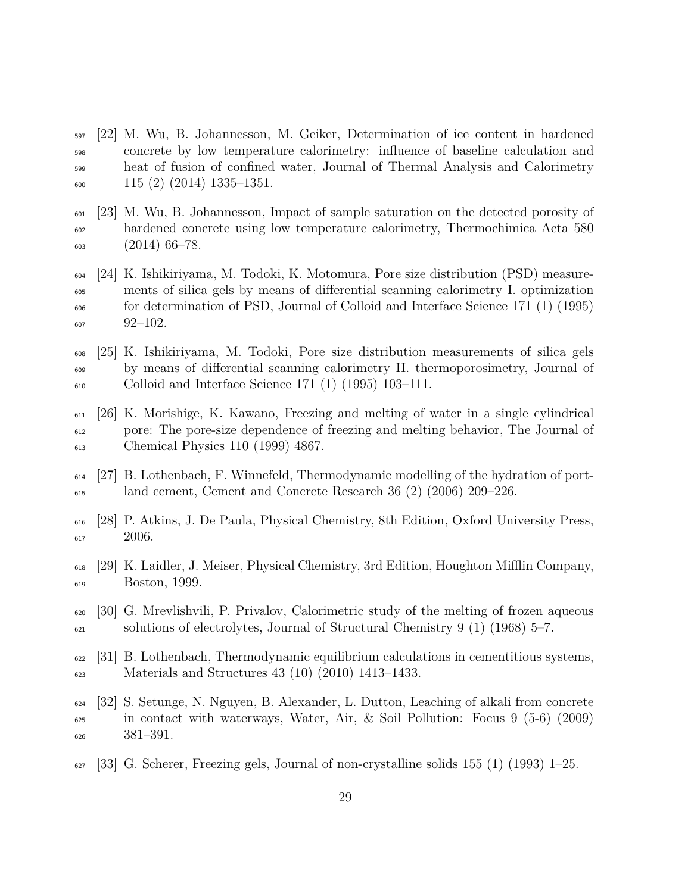- <span id="page-28-0"></span> [22] M. Wu, B. Johannesson, M. Geiker, Determination of ice content in hardened concrete by low temperature calorimetry: influence of baseline calculation and heat of fusion of confined water, Journal of Thermal Analysis and Calorimetry  $\frac{600}{115}$  (2) (2014) 1335–1351.
- <span id="page-28-1"></span> [23] M. Wu, B. Johannesson, Impact of sample saturation on the detected porosity of hardened concrete using low temperature calorimetry, Thermochimica Acta 580  $(2014)$  66–78.
- <span id="page-28-2"></span> [24] K. Ishikiriyama, M. Todoki, K. Motomura, Pore size distribution (PSD) measure- ments of silica gels by means of differential scanning calorimetry I. optimization for determination of PSD, Journal of Colloid and Interface Science 171 (1) (1995) 92–102.
- [25] K. Ishikiriyama, M. Todoki, Pore size distribution measurements of silica gels by means of differential scanning calorimetry II. thermoporosimetry, Journal of Colloid and Interface Science 171 (1) (1995) 103–111.
- <span id="page-28-3"></span> [26] K. Morishige, K. Kawano, Freezing and melting of water in a single cylindrical pore: The pore-size dependence of freezing and melting behavior, The Journal of Chemical Physics 110 (1999) 4867.
- <span id="page-28-4"></span> [27] B. Lothenbach, F. Winnefeld, Thermodynamic modelling of the hydration of port-land cement, Cement and Concrete Research 36 (2) (2006) 209–226.
- <span id="page-28-5"></span> [28] P. Atkins, J. De Paula, Physical Chemistry, 8th Edition, Oxford University Press, 2006.
- <span id="page-28-6"></span> [29] K. Laidler, J. Meiser, Physical Chemistry, 3rd Edition, Houghton Mifflin Company, Boston, 1999.
- <span id="page-28-7"></span> [30] G. Mrevlishvili, P. Privalov, Calorimetric study of the melting of frozen aqueous  $\epsilon_{621}$  solutions of electrolytes, Journal of Structural Chemistry 9 (1) (1968) 5–7.
- <span id="page-28-8"></span> [31] B. Lothenbach, Thermodynamic equilibrium calculations in cementitious systems, Materials and Structures 43 (10) (2010) 1413–1433.
- <span id="page-28-9"></span> [32] S. Setunge, N. Nguyen, B. Alexander, L. Dutton, Leaching of alkali from concrete in contact with waterways, Water, Air, & Soil Pollution: Focus 9 (5-6) (2009) 381–391.
- <span id="page-28-10"></span>[33] G. Scherer, Freezing gels, Journal of non-crystalline solids 155 (1) (1993) 1–25.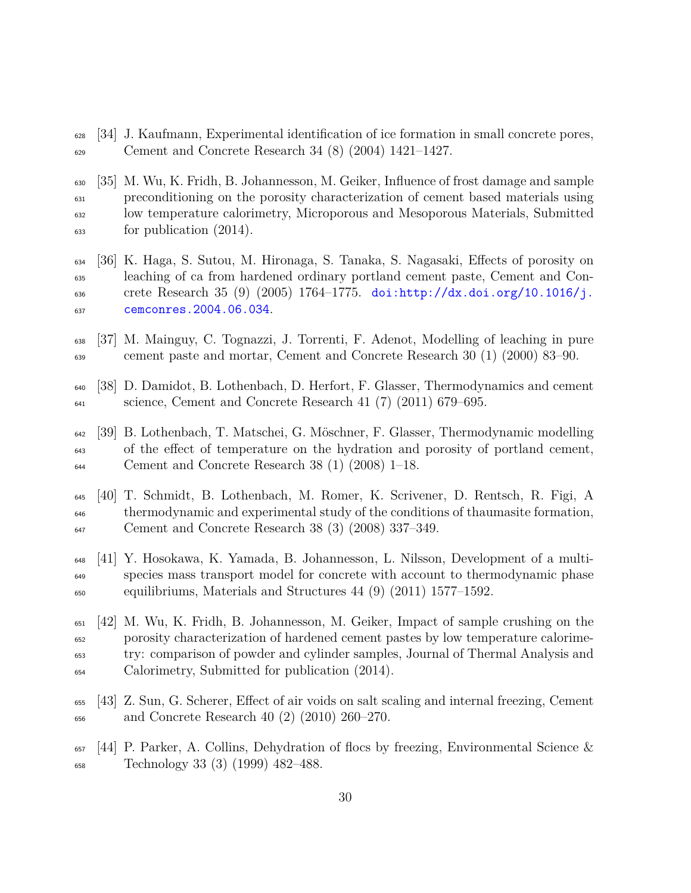- <span id="page-29-0"></span> [34] J. Kaufmann, Experimental identification of ice formation in small concrete pores, Cement and Concrete Research 34 (8) (2004) 1421–1427.
- <span id="page-29-1"></span> [35] M. Wu, K. Fridh, B. Johannesson, M. Geiker, Influence of frost damage and sample preconditioning on the porosity characterization of cement based materials using low temperature calorimetry, Microporous and Mesoporous Materials, Submitted for publication (2014).
- <span id="page-29-2"></span> [36] K. Haga, S. Sutou, M. Hironaga, S. Tanaka, S. Nagasaki, Effects of porosity on leaching of ca from hardened ordinary portland cement paste, Cement and Con636 crete Research 35 (9) (2005) 1764–1775. [doi:http://dx.doi.org/10.1016/j.](http://dx.doi.org/http://dx.doi.org/10.1016/j.cemconres.2004.06.034) [cemconres.2004.06.034](http://dx.doi.org/http://dx.doi.org/10.1016/j.cemconres.2004.06.034).
- <span id="page-29-3"></span> [37] M. Mainguy, C. Tognazzi, J. Torrenti, F. Adenot, Modelling of leaching in pure cement paste and mortar, Cement and Concrete Research 30 (1) (2000) 83–90.
- <span id="page-29-4"></span> [38] D. Damidot, B. Lothenbach, D. Herfort, F. Glasser, Thermodynamics and cement <sup>641</sup> science, Cement and Concrete Research 41 (7) (2011) 679–695.
- <span id="page-29-9"></span> [39] B. Lothenbach, T. Matschei, G. Möschner, F. Glasser, Thermodynamic modelling of the effect of temperature on the hydration and porosity of portland cement,  $\epsilon_{44}$  Cement and Concrete Research 38 (1) (2008) 1–18.
- <span id="page-29-10"></span> [40] T. Schmidt, B. Lothenbach, M. Romer, K. Scrivener, D. Rentsch, R. Figi, A thermodynamic and experimental study of the conditions of thaumasite formation, Cement and Concrete Research 38 (3) (2008) 337–349.
- <span id="page-29-5"></span> [41] Y. Hosokawa, K. Yamada, B. Johannesson, L. Nilsson, Development of a multi- species mass transport model for concrete with account to thermodynamic phase equilibriums, Materials and Structures 44 (9) (2011) 1577–1592.
- <span id="page-29-6"></span> [42] M. Wu, K. Fridh, B. Johannesson, M. Geiker, Impact of sample crushing on the porosity characterization of hardened cement pastes by low temperature calorime- try: comparison of powder and cylinder samples, Journal of Thermal Analysis and Calorimetry, Submitted for publication (2014).
- <span id="page-29-7"></span> [43] Z. Sun, G. Scherer, Effect of air voids on salt scaling and internal freezing, Cement and Concrete Research 40 (2) (2010) 260–270.
- <span id="page-29-8"></span> [44] P. Parker, A. Collins, Dehydration of flocs by freezing, Environmental Science & Technology 33 (3) (1999) 482–488.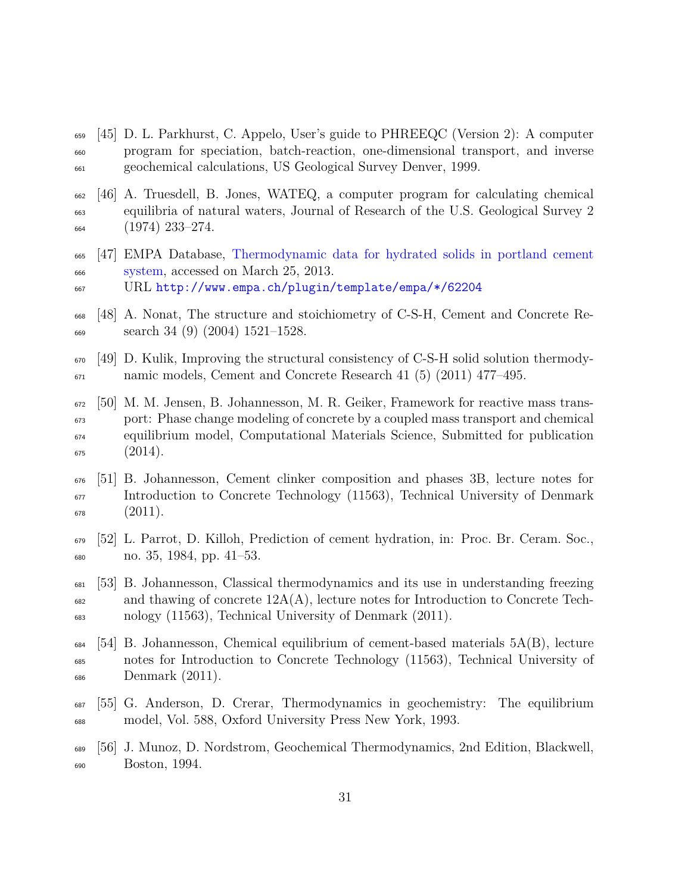- <span id="page-30-0"></span> [45] D. L. Parkhurst, C. Appelo, User's guide to PHREEQC (Version 2): A computer program for speciation, batch-reaction, one-dimensional transport, and inverse geochemical calculations, US Geological Survey Denver, 1999.
- <span id="page-30-1"></span> [46] A. Truesdell, B. Jones, WATEQ, a computer program for calculating chemical equilibria of natural waters, Journal of Research of the U.S. Geological Survey 2  $(1974)$   $233-274$ .
- <span id="page-30-2"></span> [\[](http://www.empa.ch/plugin/template/empa/*/62204)47] EMPA Database, [Thermodynamic data for hydrated solids in portland cement](http://www.empa.ch/plugin/template/empa/*/62204) [system,](http://www.empa.ch/plugin/template/empa/*/62204) accessed on March 25, 2013. URL [http://www.empa.ch/plugin/template/empa/\\*/62204](http://www.empa.ch/plugin/template/empa/*/62204)
- <span id="page-30-3"></span> [48] A. Nonat, The structure and stoichiometry of C-S-H, Cement and Concrete Re-search 34 (9) (2004) 1521–1528.
- <span id="page-30-4"></span> $\epsilon_{670}$  [49] D. Kulik, Improving the structural consistency of C-S-H solid solution thermody-namic models, Cement and Concrete Research 41 (5) (2011) 477–495.
- <span id="page-30-5"></span> [50] M. M. Jensen, B. Johannesson, M. R. Geiker, Framework for reactive mass trans- port: Phase change modeling of concrete by a coupled mass transport and chemical equilibrium model, Computational Materials Science, Submitted for publication  $(2014)$ .
- <span id="page-30-6"></span> [51] B. Johannesson, Cement clinker composition and phases 3B, lecture notes for Introduction to Concrete Technology (11563), Technical University of Denmark  $(2011)$ .
- <span id="page-30-7"></span> [52] L. Parrot, D. Killoh, Prediction of cement hydration, in: Proc. Br. Ceram. Soc., no. 35, 1984, pp. 41–53.
- <span id="page-30-8"></span> [53] B. Johannesson, Classical thermodynamics and its use in understanding freezing and thawing of concrete 12A(A), lecture notes for Introduction to Concrete Tech-nology (11563), Technical University of Denmark (2011).
- <span id="page-30-9"></span> [54] B. Johannesson, Chemical equilibrium of cement-based materials  $5A(B)$ , lecture notes for Introduction to Concrete Technology (11563), Technical University of Denmark (2011).
- <span id="page-30-10"></span> [55] G. Anderson, D. Crerar, Thermodynamics in geochemistry: The equilibrium model, Vol. 588, Oxford University Press New York, 1993.
- <span id="page-30-11"></span> [56] J. Munoz, D. Nordstrom, Geochemical Thermodynamics, 2nd Edition, Blackwell, Boston, 1994.